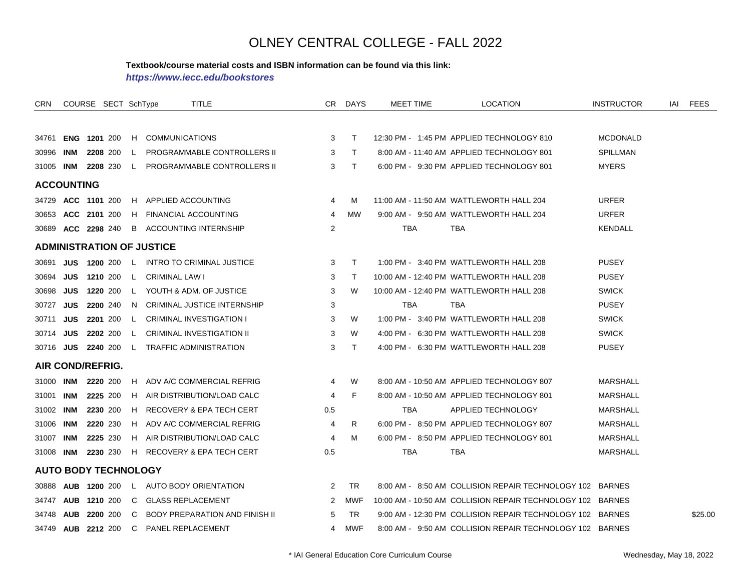#### **Textbook/course material costs and ISBN information can be found via this link:**

*https://www.iecc.edu/bookstores*

| CRN                         |                      | COURSE SECT SchType |              | <b>TITLE</b>                          |                | CR DAYS    | MEET TIME  | <b>LOCATION</b>                                            | <b>INSTRUCTOR</b> | iai | FEES    |
|-----------------------------|----------------------|---------------------|--------------|---------------------------------------|----------------|------------|------------|------------------------------------------------------------|-------------------|-----|---------|
|                             |                      |                     |              |                                       |                |            |            |                                                            |                   |     |         |
| 34761                       | <b>ENG 1201 200</b>  |                     |              | H COMMUNICATIONS                      | 3              | $\top$     |            | 12:30 PM - 1:45 PM APPLIED TECHNOLOGY 810                  | <b>MCDONALD</b>   |     |         |
| 30996                       | INM                  | 2208 200            | L.           | PROGRAMMABLE CONTROLLERS II           | 3              | $\top$     |            | 8:00 AM - 11:40 AM APPLIED TECHNOLOGY 801                  | SPILLMAN          |     |         |
| 31005 INM                   |                      | 2208 230            | $\mathbf{L}$ | PROGRAMMABLE CONTROLLERS II           | 3              | T.         |            | 6:00 PM - 9:30 PM APPLIED TECHNOLOGY 801                   | <b>MYERS</b>      |     |         |
| <b>ACCOUNTING</b>           |                      |                     |              |                                       |                |            |            |                                                            |                   |     |         |
|                             | 34729 ACC 1101 200   |                     |              | H APPLIED ACCOUNTING                  | 4              | М          |            | 11:00 AM - 11:50 AM WATTLEWORTH HALL 204                   | <b>URFER</b>      |     |         |
|                             | 30653 ACC 2101 200   |                     | H.           | <b>FINANCIAL ACCOUNTING</b>           | 4              | <b>MW</b>  |            | 9:00 AM - 9:50 AM WATTLEWORTH HALL 204                     | <b>URFER</b>      |     |         |
|                             | 30689 ACC 2298 240   |                     | B            | ACCOUNTING INTERNSHIP                 | $\overline{2}$ |            | TBA        | <b>TBA</b>                                                 | <b>KENDALL</b>    |     |         |
|                             |                      |                     |              | <b>ADMINISTRATION OF JUSTICE</b>      |                |            |            |                                                            |                   |     |         |
| 30691                       |                      | <b>JUS 1200 200</b> | <b>L</b>     | INTRO TO CRIMINAL JUSTICE             | 3              | $\top$     |            | 1:00 PM - 3:40 PM WATTLEWORTH HALL 208                     | <b>PUSEY</b>      |     |         |
| 30694                       | JUS                  | 1210 200            | $\mathbf{L}$ | <b>CRIMINAL LAW I</b>                 | 3              | T          |            | 10:00 AM - 12:40 PM WATTLEWORTH HALL 208                   | <b>PUSEY</b>      |     |         |
| 30698                       | JUS                  | 1220 200            | $\mathbf{L}$ | YOUTH & ADM, OF JUSTICE               | 3              | W          |            | 10:00 AM - 12:40 PM WATTLEWORTH HALL 208                   | <b>SWICK</b>      |     |         |
| 30727                       | <b>JUS</b>           | 2200 240            |              | N CRIMINAL JUSTICE INTERNSHIP         | 3              |            | <b>TBA</b> | <b>TBA</b>                                                 | <b>PUSEY</b>      |     |         |
| 30711                       | <b>JUS</b>           | 2201 200            | L.           | <b>CRIMINAL INVESTIGATION I</b>       | 3              | W          |            | 1:00 PM - 3:40 PM WATTLEWORTH HALL 208                     | <b>SWICK</b>      |     |         |
| 30714 JUS                   |                      | 2202 200            | L.           | <b>CRIMINAL INVESTIGATION II</b>      | 3              | W          |            | 4:00 PM - 6:30 PM WATTLEWORTH HALL 208                     | <b>SWICK</b>      |     |         |
|                             | 30716 JUS 2240 200   |                     |              | L TRAFFIC ADMINISTRATION              | 3              | T.         |            | 4:00 PM - 6:30 PM WATTLEWORTH HALL 208                     | <b>PUSEY</b>      |     |         |
| AIR COND/REFRIG.            |                      |                     |              |                                       |                |            |            |                                                            |                   |     |         |
| 31000 INM                   |                      | 2220 200            |              | H ADV A/C COMMERCIAL REFRIG           | 4              | W          |            | 8:00 AM - 10:50 AM APPLIED TECHNOLOGY 807                  | <b>MARSHALL</b>   |     |         |
| 31001                       | INM                  | 2225 200            |              | H AIR DISTRIBUTION/LOAD CALC          | 4              | F          |            | 8:00 AM - 10:50 AM APPLIED TECHNOLOGY 801                  | <b>MARSHALL</b>   |     |         |
| 31002 INM                   |                      | 2230 200            | H            | RECOVERY & EPA TECH CERT              | 0.5            |            | <b>TBA</b> | APPLIED TECHNOLOGY                                         | <b>MARSHALL</b>   |     |         |
| 31006                       | INM                  | 2220 230            |              | H ADV A/C COMMERCIAL REFRIG           | 4              | R          |            | 6:00 PM - 8:50 PM APPLIED TECHNOLOGY 807                   | MARSHALL          |     |         |
| 31007                       | INM                  | 2225 230            | H.           | AIR DISTRIBUTION/LOAD CALC            | 4              | М          |            | 6:00 PM - 8:50 PM APPLIED TECHNOLOGY 801                   | MARSHALL          |     |         |
| 31008 INM                   |                      | 2230 230            |              | H RECOVERY & EPA TECH CERT            | 0.5            |            | <b>TBA</b> | TBA                                                        | <b>MARSHALL</b>   |     |         |
| <b>AUTO BODY TECHNOLOGY</b> |                      |                     |              |                                       |                |            |            |                                                            |                   |     |         |
| 30888                       | <b>AUB 1200 200</b>  |                     |              | L AUTO BODY ORIENTATION               | 2              | <b>TR</b>  |            | 8:00 AM - 8:50 AM COLLISION REPAIR TECHNOLOGY 102 BARNES   |                   |     |         |
| 34747                       | <b>AUB 1210 200</b>  |                     | C            | <b>GLASS REPLACEMENT</b>              | 2              | <b>MWF</b> |            | 10:00 AM - 10:50 AM COLLISION REPAIR TECHNOLOGY 102 BARNES |                   |     |         |
| 34748                       | <b>AUB 2200 200</b>  |                     | C            | <b>BODY PREPARATION AND FINISH II</b> | 5              | TR.        |            | 9:00 AM - 12:30 PM COLLISION REPAIR TECHNOLOGY 102 BARNES  |                   |     | \$25.00 |
|                             | 34749 AUB 2212 200 C |                     |              | PANEL REPLACEMENT                     | 4              | MWF        |            | 8:00 AM - 9:50 AM COLLISION REPAIR TECHNOLOGY 102 BARNES   |                   |     |         |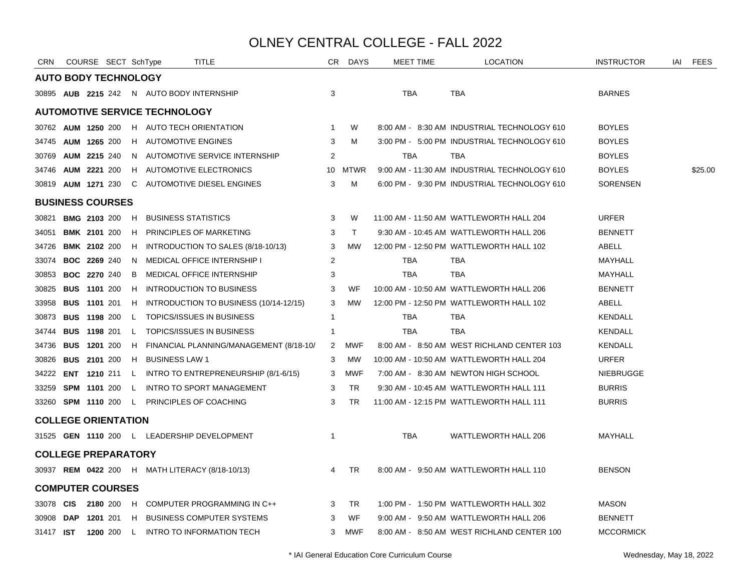| <b>CRN</b>       | COURSE SECT SchType         |              |                                           | TITLE                                                            |                 | CR DAYS   | <b>MEET TIME</b> | <b>LOCATION</b>                              | <b>INSTRUCTOR</b> | iai | FEES    |
|------------------|-----------------------------|--------------|-------------------------------------------|------------------------------------------------------------------|-----------------|-----------|------------------|----------------------------------------------|-------------------|-----|---------|
|                  | <b>AUTO BODY TECHNOLOGY</b> |              |                                           |                                                                  |                 |           |                  |                                              |                   |     |         |
|                  |                             |              | 30895 AUB 2215 242 N AUTO BODY INTERNSHIP |                                                                  | 3               |           | TBA              | TBA                                          | <b>BARNES</b>     |     |         |
|                  |                             |              | <b>AUTOMOTIVE SERVICE TECHNOLOGY</b>      |                                                                  |                 |           |                  |                                              |                   |     |         |
|                  |                             |              |                                           | 30762 AUM 1250 200 H AUTO TECH ORIENTATION                       | 1               | W         |                  | 8:00 AM - 8:30 AM INDUSTRIAL TECHNOLOGY 610  | <b>BOYLES</b>     |     |         |
|                  | 34745 AUM 1265 200          |              | H AUTOMOTIVE ENGINES                      |                                                                  | 3               | M         |                  | 3:00 PM - 5:00 PM INDUSTRIAL TECHNOLOGY 610  | <b>BOYLES</b>     |     |         |
| 30769            | <b>AUM 2215 240</b>         |              |                                           | N AUTOMOTIVE SERVICE INTERNSHIP                                  | 2               |           | <b>TBA</b>       | <b>TBA</b>                                   | <b>BOYLES</b>     |     |         |
|                  | 34746 AUM 2221 200          |              |                                           | H AUTOMOTIVE ELECTRONICS                                         | 10 <sup>°</sup> | MTWR      |                  | 9:00 AM - 11:30 AM INDUSTRIAL TECHNOLOGY 610 | <b>BOYLES</b>     |     | \$25.00 |
|                  | 30819 AUM 1271 230          |              |                                           | C AUTOMOTIVE DIESEL ENGINES                                      | 3               | M         |                  | 6:00 PM - 9:30 PM INDUSTRIAL TECHNOLOGY 610  | <b>SORENSEN</b>   |     |         |
|                  | <b>BUSINESS COURSES</b>     |              |                                           |                                                                  |                 |           |                  |                                              |                   |     |         |
| 30821            | <b>BMG 2103 200</b>         | H            | <b>BUSINESS STATISTICS</b>                |                                                                  | 3               | W         |                  | 11:00 AM - 11:50 AM WATTLEWORTH HALL 204     | <b>URFER</b>      |     |         |
| 34051            | <b>BMK 2101 200</b>         |              |                                           | H PRINCIPLES OF MARKETING                                        | 3               | $\top$    |                  | 9:30 AM - 10:45 AM WATTLEWORTH HALL 206      | <b>BENNETT</b>    |     |         |
| 34726            | <b>BMK 2102 200</b>         |              |                                           | H INTRODUCTION TO SALES (8/18-10/13)                             | 3               | МW        |                  | 12:00 PM - 12:50 PM WATTLEWORTH HALL 102     | ABELL             |     |         |
| 33074            | <b>BOC 2269 240</b>         | N.           |                                           | <b>MEDICAL OFFICE INTERNSHIP I</b>                               | $\overline{2}$  |           | <b>TBA</b>       | TBA                                          | MAYHALL           |     |         |
| 30853            | <b>BOC 2270 240</b>         | B            |                                           | <b>MEDICAL OFFICE INTERNSHIP</b>                                 | 3               |           | <b>TBA</b>       | <b>TBA</b>                                   | MAYHALL           |     |         |
| 30825            | <b>BUS 1101 200</b>         | H            |                                           | INTRODUCTION TO BUSINESS                                         | 3               | WF        |                  | 10:00 AM - 10:50 AM WATTLEWORTH HALL 206     | <b>BENNETT</b>    |     |         |
| 33958            | <b>BUS 1101 201</b>         | H            |                                           | INTRODUCTION TO BUSINESS (10/14-12/15)                           | 3               | <b>MW</b> |                  | 12:00 PM - 12:50 PM WATTLEWORTH HALL 102     | ABELL             |     |         |
| 30873            | <b>BUS 1198 200</b>         | $\mathsf{L}$ |                                           | <b>TOPICS/ISSUES IN BUSINESS</b>                                 | $\mathbf{1}$    |           | TBA              | TBA                                          | <b>KENDALL</b>    |     |         |
| 34744            | <b>BUS 1198 201</b>         | $\mathsf{L}$ |                                           | <b>TOPICS/ISSUES IN BUSINESS</b>                                 | $\mathbf{1}$    |           | <b>TBA</b>       | <b>TBA</b>                                   | KENDALL           |     |         |
| 34736            | <b>BUS 1201 200</b>         |              |                                           | H FINANCIAL PLANNING/MANAGEMENT (8/18-10/                        | $2^{\circ}$     | MWF       |                  | 8:00 AM - 8:50 AM WEST RICHLAND CENTER 103   | <b>KENDALL</b>    |     |         |
|                  | 30826 <b>BUS 2101</b> 200   |              | H BUSINESS LAW 1                          |                                                                  | 3               | MW        |                  | 10:00 AM - 10:50 AM WATTLEWORTH HALL 204     | <b>URFER</b>      |     |         |
|                  |                             |              |                                           | 34222 <b>ENT 1210</b> 211 L INTRO TO ENTREPRENEURSHIP (8/1-6/15) | 3               | MWF       |                  | 7:00 AM - 8:30 AM NEWTON HIGH SCHOOL         | <b>NIEBRUGGE</b>  |     |         |
|                  |                             |              |                                           | 33259 SPM 1101 200 L INTRO TO SPORT MANAGEMENT                   | 3               | <b>TR</b> |                  | 9:30 AM - 10:45 AM WATTLEWORTH HALL 111      | <b>BURRIS</b>     |     |         |
|                  |                             |              |                                           | 33260 SPM 1110 200 L PRINCIPLES OF COACHING                      | 3               | <b>TR</b> |                  | 11:00 AM - 12:15 PM WATTLEWORTH HALL 111     | <b>BURRIS</b>     |     |         |
|                  | <b>COLLEGE ORIENTATION</b>  |              |                                           |                                                                  |                 |           |                  |                                              |                   |     |         |
|                  |                             |              |                                           | 31525 GEN 1110 200 L LEADERSHIP DEVELOPMENT                      | $\mathbf{1}$    |           | <b>TBA</b>       | WATTLEWORTH HALL 206                         | <b>MAYHALL</b>    |     |         |
|                  | <b>COLLEGE PREPARATORY</b>  |              |                                           |                                                                  |                 |           |                  |                                              |                   |     |         |
|                  |                             |              |                                           | 30937 REM 0422 200 H MATH LITERACY (8/18-10/13)                  | $\overline{4}$  | <b>TR</b> |                  | 8:00 AM - 9:50 AM WATTLEWORTH HALL 110       | <b>BENSON</b>     |     |         |
|                  | <b>COMPUTER COURSES</b>     |              |                                           |                                                                  |                 |           |                  |                                              |                   |     |         |
| 33078 <b>CIS</b> |                             |              |                                           | 2180 200 H COMPUTER PROGRAMMING IN C++                           | 3               | <b>TR</b> |                  | 1:00 PM - 1:50 PM WATTLEWORTH HALL 302       | <b>MASON</b>      |     |         |
| 30908 DAP        |                             |              |                                           | 1201 201 H BUSINESS COMPUTER SYSTEMS                             | 3               | WF        |                  | 9:00 AM - 9:50 AM WATTLEWORTH HALL 206       | <b>BENNETT</b>    |     |         |
| 31417 <b>IST</b> |                             |              |                                           | 1200 200 L INTRO TO INFORMATION TECH                             | 3               | MWF       |                  | 8:00 AM - 8:50 AM WEST RICHLAND CENTER 100   | <b>MCCORMICK</b>  |     |         |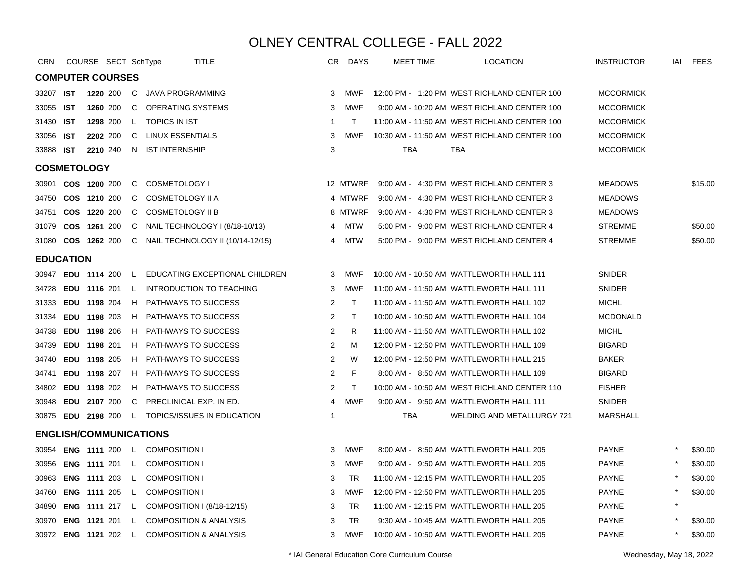| <b>CRN</b>       |            | COURSE SECT SchType           |              | TITLE                                           | CR.            | DAYS         | <b>MEET TIME</b> | <b>LOCATION</b>                              | <b>INSTRUCTOR</b> | IAI | FEES    |
|------------------|------------|-------------------------------|--------------|-------------------------------------------------|----------------|--------------|------------------|----------------------------------------------|-------------------|-----|---------|
|                  |            | <b>COMPUTER COURSES</b>       |              |                                                 |                |              |                  |                                              |                   |     |         |
| 33207            | IST        | 1220 200                      | $\mathsf{C}$ | JAVA PROGRAMMING                                | 3              | <b>MWF</b>   |                  | 12:00 PM - 1:20 PM WEST RICHLAND CENTER 100  | <b>MCCORMICK</b>  |     |         |
| 33055            | <b>IST</b> | 1260 200                      | C            | <b>OPERATING SYSTEMS</b>                        | 3              | <b>MWF</b>   |                  | 9:00 AM - 10:20 AM WEST RICHLAND CENTER 100  | <b>MCCORMICK</b>  |     |         |
| 31430            | <b>IST</b> | 1298 200                      | $\mathsf{L}$ | <b>TOPICS IN IST</b>                            | -1             | $\top$       |                  | 11:00 AM - 11:50 AM WEST RICHLAND CENTER 100 | <b>MCCORMICK</b>  |     |         |
| 33056            | <b>IST</b> | 2202 200                      | C            | LINUX ESSENTIALS                                | 3              | <b>MWF</b>   |                  | 10:30 AM - 11:50 AM WEST RICHLAND CENTER 100 | <b>MCCORMICK</b>  |     |         |
| 33888            | <b>IST</b> | 2210 240                      |              | N IST INTERNSHIP                                | 3              |              | <b>TBA</b>       | <b>TBA</b>                                   | <b>MCCORMICK</b>  |     |         |
|                  |            | <b>COSMETOLOGY</b>            |              |                                                 |                |              |                  |                                              |                   |     |         |
| 30901            |            | COS 1200 200                  | C.           | COSMETOLOGY I                                   |                | 12 MTWRF     |                  | 9:00 AM - 4:30 PM WEST RICHLAND CENTER 3     | <b>MEADOWS</b>    |     | \$15.00 |
| 34750            |            | COS 1210 200                  | C            | COSMETOLOGY II A                                |                | 4 MTWRF      |                  | 9:00 AM - 4:30 PM WEST RICHLAND CENTER 3     | <b>MEADOWS</b>    |     |         |
| 34751            |            | COS 1220 200                  | C            | <b>COSMETOLOGY II B</b>                         |                | 8 MTWRF      |                  | 9:00 AM - 4:30 PM WEST RICHLAND CENTER 3     | <b>MEADOWS</b>    |     |         |
| 31079            |            | COS 1261 200                  | C            | NAIL TECHNOLOGY I (8/18-10/13)                  | 4              | <b>MTW</b>   |                  | 5:00 PM - 9:00 PM WEST RICHLAND CENTER 4     | <b>STREMME</b>    |     | \$50.00 |
| 31080            |            | COS 1262 200                  | C            | NAIL TECHNOLOGY II (10/14-12/15)                | 4              | <b>MTW</b>   |                  | 5:00 PM - 9:00 PM WEST RICHLAND CENTER 4     | <b>STREMME</b>    |     | \$50.00 |
| <b>EDUCATION</b> |            |                               |              |                                                 |                |              |                  |                                              |                   |     |         |
|                  |            | 30947 EDU 1114 200            |              | L EDUCATING EXCEPTIONAL CHILDREN                | 3              | MWF          |                  | 10:00 AM - 10:50 AM WATTLEWORTH HALL 111     | SNIDER            |     |         |
| 34728            |            | <b>EDU 1116 201</b>           | $\mathsf{L}$ | <b>INTRODUCTION TO TEACHING</b>                 | 3              | MWF          |                  | 11:00 AM - 11:50 AM WATTLEWORTH HALL 111     | SNIDER            |     |         |
| 31333            |            | EDU 1198 204                  | H.           | <b>PATHWAYS TO SUCCESS</b>                      | 2              | $\mathsf{T}$ |                  | 11:00 AM - 11:50 AM WATTLEWORTH HALL 102     | <b>MICHL</b>      |     |         |
| 31334            |            | EDU 1198 203                  |              | H PATHWAYS TO SUCCESS                           | 2              | $\mathsf{T}$ |                  | 10:00 AM - 10:50 AM WATTLEWORTH HALL 104     | <b>MCDONALD</b>   |     |         |
| 34738            |            | EDU 1198 206                  |              | H PATHWAYS TO SUCCESS                           | 2              | R            |                  | 11:00 AM - 11:50 AM WATTLEWORTH HALL 102     | <b>MICHL</b>      |     |         |
| 34739            |            | EDU 1198 201                  |              | H PATHWAYS TO SUCCESS                           | $\overline{2}$ | M            |                  | 12:00 PM - 12:50 PM WATTLEWORTH HALL 109     | <b>BIGARD</b>     |     |         |
| 34740            |            | EDU 1198 205                  | H.           | <b>PATHWAYS TO SUCCESS</b>                      | $\overline{2}$ | W            |                  | 12:00 PM - 12:50 PM WATTLEWORTH HALL 215     | <b>BAKER</b>      |     |         |
| 34741            |            | EDU 1198 207                  | H            | <b>PATHWAYS TO SUCCESS</b>                      | 2              | F            |                  | 8:00 AM - 8:50 AM WATTLEWORTH HALL 109       | <b>BIGARD</b>     |     |         |
| 34802            |            | <b>EDU 1198 202</b>           | H            | <b>PATHWAYS TO SUCCESS</b>                      | 2              | T            |                  | 10:00 AM - 10:50 AM WEST RICHLAND CENTER 110 | <b>FISHER</b>     |     |         |
| 30948            |            | <b>EDU 2107 200</b>           | C            | PRECLINICAL EXP. IN ED.                         | $\overline{4}$ | <b>MWF</b>   |                  | 9:00 AM - 9:50 AM WATTLEWORTH HALL 111       | SNIDER            |     |         |
|                  |            |                               |              | 30875 EDU 2198 200 L TOPICS/ISSUES IN EDUCATION | $\mathbf{1}$   |              | TBA              | WELDING AND METALLURGY 721                   | <b>MARSHALL</b>   |     |         |
|                  |            | <b>ENGLISH/COMMUNICATIONS</b> |              |                                                 |                |              |                  |                                              |                   |     |         |
| 30954            |            |                               |              | ENG 1111 200 L COMPOSITION I                    | 3              | <b>MWF</b>   |                  | 8:00 AM - 8:50 AM WATTLEWORTH HALL 205       | <b>PAYNE</b>      |     | \$30.00 |
| 30956            |            | <b>ENG 1111 201</b>           | $\mathbf{L}$ | <b>COMPOSITION I</b>                            | 3              | <b>MWF</b>   |                  | 9:00 AM - 9:50 AM WATTLEWORTH HALL 205       | <b>PAYNE</b>      |     | \$30.00 |
| 30963            |            | <b>ENG 1111 203</b>           | −L.          | <b>COMPOSITION I</b>                            | 3              | TR           |                  | 11:00 AM - 12:15 PM WATTLEWORTH HALL 205     | <b>PAYNE</b>      |     | \$30.00 |
| 34760            |            | <b>ENG 1111 205</b>           | L.           | <b>COMPOSITION I</b>                            | 3              | MWF          |                  | 12:00 PM - 12:50 PM WATTLEWORTH HALL 205     | <b>PAYNE</b>      |     | \$30.00 |
| 34890            |            | <b>ENG 1111 217 L</b>         |              | COMPOSITION I (8/18-12/15)                      | 3              | TR           |                  | 11:00 AM - 12:15 PM WATTLEWORTH HALL 205     | <b>PAYNE</b>      |     |         |
| 30970            |            | <b>ENG 1121 201 L</b>         |              | <b>COMPOSITION &amp; ANALYSIS</b>               | 3              | TR           |                  | 9:30 AM - 10:45 AM WATTLEWORTH HALL 205      | <b>PAYNE</b>      |     | \$30.00 |
|                  |            |                               |              | 30972 ENG 1121 202 L COMPOSITION & ANALYSIS     | 3              | <b>MWF</b>   |                  | 10:00 AM - 10:50 AM WATTLEWORTH HALL 205     | <b>PAYNE</b>      |     | \$30.00 |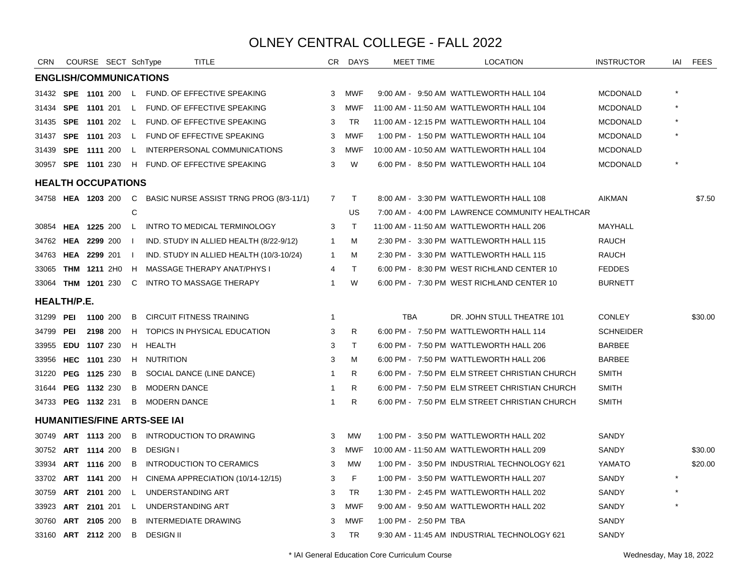| CRN         |     | COURSE SECT SchType           |              |                                     | TITLE                                                        |                | CR DAYS      |                       | <b>MEET TIME</b> | <b>LOCATION</b>                                | <b>INSTRUCTOR</b> | IAI | <b>FEES</b> |
|-------------|-----|-------------------------------|--------------|-------------------------------------|--------------------------------------------------------------|----------------|--------------|-----------------------|------------------|------------------------------------------------|-------------------|-----|-------------|
|             |     | <b>ENGLISH/COMMUNICATIONS</b> |              |                                     |                                                              |                |              |                       |                  |                                                |                   |     |             |
|             |     |                               |              |                                     | 31432 SPE 1101 200 L FUND. OF EFFECTIVE SPEAKING             | 3              | MWF          |                       |                  | 9:00 AM - 9:50 AM WATTLEWORTH HALL 104         | <b>MCDONALD</b>   |     |             |
| 31434       | SPE | 1101 201                      |              |                                     | L FUND. OF EFFECTIVE SPEAKING                                | 3              | MWF          |                       |                  | 11:00 AM - 11:50 AM WATTLEWORTH HALL 104       | <b>MCDONALD</b>   |     |             |
| 31435       |     |                               |              |                                     | SPE 1101 202 L FUND. OF EFFECTIVE SPEAKING                   | 3              | TR           |                       |                  | 11:00 AM - 12:15 PM WATTLEWORTH HALL 104       | <b>MCDONALD</b>   |     |             |
| 31437       |     |                               |              |                                     | SPE 1101 203 L FUND OF EFFECTIVE SPEAKING                    | 3              | MWF          |                       |                  | 1:00 PM - 1:50 PM WATTLEWORTH HALL 104         | <b>MCDONALD</b>   |     |             |
| 31439       |     | SPE 1111 200                  | L.           |                                     | INTERPERSONAL COMMUNICATIONS                                 | 3              | <b>MWF</b>   |                       |                  | 10:00 AM - 10:50 AM WATTLEWORTH HALL 104       | <b>MCDONALD</b>   |     |             |
|             |     | 30957 SPE 1101 230            |              |                                     | H FUND. OF EFFECTIVE SPEAKING                                | 3              | W            |                       |                  | 6:00 PM - 8:50 PM WATTLEWORTH HALL 104         | <b>MCDONALD</b>   |     |             |
|             |     | <b>HEALTH OCCUPATIONS</b>     |              |                                     |                                                              |                |              |                       |                  |                                                |                   |     |             |
|             |     |                               |              |                                     | 34758 HEA 1203 200 C BASIC NURSE ASSIST TRNG PROG (8/3-11/1) | $\overline{7}$ | $\mathsf{T}$ |                       |                  | 8:00 AM - 3:30 PM WATTLEWORTH HALL 108         | <b>AIKMAN</b>     |     | \$7.50      |
|             |     |                               | C            |                                     |                                                              |                | US           |                       |                  | 7:00 AM - 4:00 PM LAWRENCE COMMUNITY HEALTHCAR |                   |     |             |
|             |     | 30854 HEA 1225 200            | $\mathsf{L}$ |                                     | INTRO TO MEDICAL TERMINOLOGY                                 | 3              | $\mathsf{T}$ |                       |                  | 11:00 AM - 11:50 AM WATTLEWORTH HALL 206       | MAYHALL           |     |             |
| 34762       |     | <b>HEA 2299 200</b>           |              |                                     | IND. STUDY IN ALLIED HEALTH (8/22-9/12)                      | $\overline{1}$ | м            |                       |                  | 2:30 PM - 3:30 PM WATTLEWORTH HALL 115         | <b>RAUCH</b>      |     |             |
| 34763       |     | HEA 2299 201                  | -1           |                                     | IND. STUDY IN ALLIED HEALTH (10/3-10/24)                     | $\overline{1}$ | м            |                       |                  | 2:30 PM - 3:30 PM WATTLEWORTH HALL 115         | RAUCH             |     |             |
| 33065       |     | <b>THM 1211 2H0</b>           | H            |                                     | MASSAGE THERAPY ANAT/PHYS I                                  | 4              | $\mathsf{T}$ |                       |                  | 6:00 PM - 8:30 PM WEST RICHLAND CENTER 10      | <b>FEDDES</b>     |     |             |
| 33064       |     | <b>THM 1201 230</b>           | C            |                                     | INTRO TO MASSAGE THERAPY                                     | $\mathbf{1}$   | W            |                       |                  | 6:00 PM - 7:30 PM WEST RICHLAND CENTER 10      | <b>BURNETT</b>    |     |             |
| HEALTH/P.E. |     |                               |              |                                     |                                                              |                |              |                       |                  |                                                |                   |     |             |
| 31299       | PEI | 1100 200                      | B            |                                     | <b>CIRCUIT FITNESS TRAINING</b>                              | $\mathbf{1}$   |              | <b>TBA</b>            |                  | DR. JOHN STULL THEATRE 101                     | <b>CONLEY</b>     |     | \$30.00     |
| 34799       | PEI | 2198 200                      | H.           |                                     | TOPICS IN PHYSICAL EDUCATION                                 | 3              | R            |                       |                  | 6:00 PM - 7:50 PM WATTLEWORTH HALL 114         | <b>SCHNEIDER</b>  |     |             |
| 33955       |     | EDU 1107 230                  | H            | HEALTH                              |                                                              | 3              | T            |                       |                  | 6:00 PM - 7:50 PM WATTLEWORTH HALL 206         | <b>BARBEE</b>     |     |             |
| 33956       |     | HEC 1101 230                  |              | H NUTRITION                         |                                                              | 3              | M            |                       |                  | 6:00 PM - 7:50 PM WATTLEWORTH HALL 206         | <b>BARBEE</b>     |     |             |
| 31220       |     | PEG 1125 230                  | B            |                                     | SOCIAL DANCE (LINE DANCE)                                    | $\overline{1}$ | R.           |                       |                  | 6:00 PM - 7:50 PM ELM STREET CHRISTIAN CHURCH  | <b>SMITH</b>      |     |             |
|             |     | 31644 PEG 1132 230            | B            | <b>MODERN DANCE</b>                 |                                                              | $\mathbf{1}$   | R.           |                       |                  | 6:00 PM - 7:50 PM ELM STREET CHRISTIAN CHURCH  | <b>SMITH</b>      |     |             |
|             |     | 34733 PEG 1132 231            |              | <b>B</b> MODERN DANCE               |                                                              | $\overline{1}$ | R.           |                       |                  | 6:00 PM - 7:50 PM ELM STREET CHRISTIAN CHURCH  | <b>SMITH</b>      |     |             |
|             |     |                               |              | <b>HUMANITIES/FINE ARTS-SEE IAI</b> |                                                              |                |              |                       |                  |                                                |                   |     |             |
| 30749       |     | ART 1113 200                  | B            |                                     | <b>INTRODUCTION TO DRAWING</b>                               | 3              | <b>MW</b>    |                       |                  | 1:00 PM - 3:50 PM WATTLEWORTH HALL 202         | SANDY             |     |             |
| 30752       |     | ART 1114 200                  | B            | <b>DESIGN I</b>                     |                                                              | 3              | <b>MWF</b>   |                       |                  | 10:00 AM - 11:50 AM WATTLEWORTH HALL 209       | <b>SANDY</b>      |     | \$30.00     |
| 33934       |     | <b>ART 1116 200</b>           | B            |                                     | INTRODUCTION TO CERAMICS                                     | 3              | <b>MW</b>    |                       |                  | 1:00 PM - 3:50 PM INDUSTRIAL TECHNOLOGY 621    | YAMATO            |     | \$20.00     |
|             |     | 33702 ART 1141 200            | H            |                                     | CINEMA APPRECIATION (10/14-12/15)                            | 3              | F            |                       |                  | 1:00 PM - 3:50 PM WATTLEWORTH HALL 207         | SANDY             |     |             |
|             |     | 30759 ART 2101 200            | $\mathsf{L}$ | UNDERSTANDING ART                   |                                                              | 3              | <b>TR</b>    |                       |                  | 1:30 PM - 2:45 PM WATTLEWORTH HALL 202         | SANDY             |     |             |
| 33923       |     | <b>ART 2101 201</b>           | L.           | UNDERSTANDING ART                   |                                                              | 3              | <b>MWF</b>   |                       |                  | 9:00 AM - 9:50 AM WATTLEWORTH HALL 202         | SANDY             |     |             |
| 30760       |     | ART 2105 200                  | B            |                                     | <b>INTERMEDIATE DRAWING</b>                                  | 3              | <b>MWF</b>   | 1:00 PM - 2:50 PM TBA |                  |                                                | SANDY             |     |             |
|             |     | 33160 ART 2112 200            | B            | <b>DESIGN II</b>                    |                                                              | 3              | <b>TR</b>    |                       |                  | 9:30 AM - 11:45 AM INDUSTRIAL TECHNOLOGY 621   | SANDY             |     |             |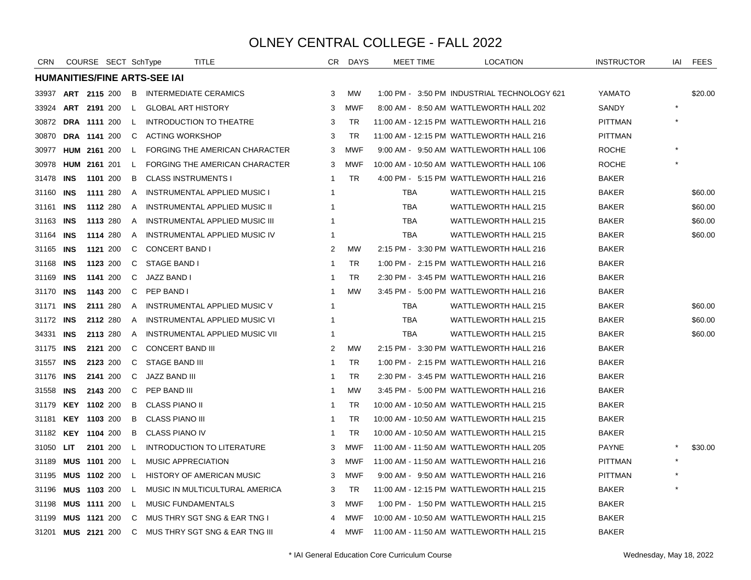| <b>CRN</b> |            | COURSE SECT SchType |              |                                     | <b>TITLE</b>                         | CR.          | <b>DAYS</b> | MEET TIME  | <b>LOCATION</b>                             | <b>INSTRUCTOR</b> | IAI | <b>FEES</b> |
|------------|------------|---------------------|--------------|-------------------------------------|--------------------------------------|--------------|-------------|------------|---------------------------------------------|-------------------|-----|-------------|
|            |            |                     |              | <b>HUMANITIES/FINE ARTS-SEE IAI</b> |                                      |              |             |            |                                             |                   |     |             |
| 33937      |            | ART 2115 200        | B            |                                     | <b>INTERMEDIATE CERAMICS</b>         | 3            | MW          |            | 1:00 PM - 3:50 PM INDUSTRIAL TECHNOLOGY 621 | YAMATO            |     | \$20.00     |
| 33924      |            | ART 2191 200        | L.           | <b>GLOBAL ART HISTORY</b>           |                                      | 3            | <b>MWF</b>  |            | 8:00 AM - 8:50 AM WATTLEWORTH HALL 202      | SANDY             |     |             |
| 30872      |            | <b>DRA 1111 200</b> | $\mathbf{L}$ |                                     | <b>INTRODUCTION TO THEATRE</b>       | 3            | TR          |            | 11:00 AM - 12:15 PM WATTLEWORTH HALL 216    | PITTMAN           |     |             |
| 30870      |            | <b>DRA 1141 200</b> | C            | <b>ACTING WORKSHOP</b>              |                                      | 3            | <b>TR</b>   |            | 11:00 AM - 12:15 PM WATTLEWORTH HALL 216    | <b>PITTMAN</b>    |     |             |
| 30977      |            | HUM 2161 200        | L.           |                                     | FORGING THE AMERICAN CHARACTER       | 3            | <b>MWF</b>  |            | 9:00 AM - 9:50 AM WATTLEWORTH HALL 106      | ROCHE             |     |             |
| 30978      |            | HUM 2161 201        | L.           |                                     | FORGING THE AMERICAN CHARACTER       | 3            | <b>MWF</b>  |            | 10:00 AM - 10:50 AM WATTLEWORTH HALL 106    | ROCHE             |     |             |
| 31478      | INS        | 1101 200            | B            | <b>CLASS INSTRUMENTS I</b>          |                                      | -1           | <b>TR</b>   |            | 4:00 PM - 5:15 PM WATTLEWORTH HALL 216      | BAKER             |     |             |
| 31160      | <b>INS</b> | 1111 280            | A            |                                     | <b>INSTRUMENTAL APPLIED MUSIC I</b>  | -1           |             | <b>TBA</b> | <b>WATTLEWORTH HALL 215</b>                 | <b>BAKER</b>      |     | \$60.00     |
| 31161      | <b>INS</b> | 1112 280            | A            |                                     | <b>INSTRUMENTAL APPLIED MUSIC II</b> | 1            |             | <b>TBA</b> | <b>WATTLEWORTH HALL 215</b>                 | <b>BAKER</b>      |     | \$60.00     |
| 31163      | <b>INS</b> | 1113 280            | A            |                                     | INSTRUMENTAL APPLIED MUSIC III       | -1           |             | <b>TBA</b> | <b>WATTLEWORTH HALL 215</b>                 | <b>BAKER</b>      |     | \$60.00     |
| 31164      | <b>INS</b> | 1114 280            | A            |                                     | INSTRUMENTAL APPLIED MUSIC IV        | -1           |             | <b>TBA</b> | <b>WATTLEWORTH HALL 215</b>                 | <b>BAKER</b>      |     | \$60.00     |
| 31165      | <b>INS</b> | 1121 200            | C            | <b>CONCERT BAND I</b>               |                                      | 2            | <b>MW</b>   |            | 2:15 PM - 3:30 PM WATTLEWORTH HALL 216      | BAKER             |     |             |
| 31168      | <b>INS</b> | 1123 200            | C            | STAGE BAND I                        |                                      | $\mathbf{1}$ | <b>TR</b>   |            | 1:00 PM - 2:15 PM WATTLEWORTH HALL 216      | <b>BAKER</b>      |     |             |
| 31169      | INS        | 1141 200            | C            | JAZZ BAND I                         |                                      | -1           | <b>TR</b>   |            | 2:30 PM - 3:45 PM WATTLEWORTH HALL 216      | <b>BAKER</b>      |     |             |
| 31170      | INS        | 1143 200            | C            | PEP BAND I                          |                                      | -1           | <b>MW</b>   |            | 3:45 PM - 5:00 PM WATTLEWORTH HALL 216      | <b>BAKER</b>      |     |             |
| 31171      | <b>INS</b> | 2111 280            | A            |                                     | <b>INSTRUMENTAL APPLIED MUSIC V</b>  | -1           |             | <b>TBA</b> | <b>WATTLEWORTH HALL 215</b>                 | <b>BAKER</b>      |     | \$60.00     |
| 31172      | <b>INS</b> | 2112 280            | A            |                                     | INSTRUMENTAL APPLIED MUSIC VI        | -1           |             | <b>TBA</b> | <b>WATTLEWORTH HALL 215</b>                 | <b>BAKER</b>      |     | \$60.00     |
| 34331      | <b>INS</b> | 2113 280            | A            |                                     | INSTRUMENTAL APPLIED MUSIC VII       | $\mathbf{1}$ |             | <b>TBA</b> | <b>WATTLEWORTH HALL 215</b>                 | <b>BAKER</b>      |     | \$60.00     |
| 31175      | INS        | 2121 200            | C            | <b>CONCERT BAND III</b>             |                                      | 2            | <b>MW</b>   |            | 2:15 PM - 3:30 PM WATTLEWORTH HALL 216      | <b>BAKER</b>      |     |             |
| 31557      | <b>INS</b> | 2123 200            | C            | <b>STAGE BAND III</b>               |                                      | $\mathbf{1}$ | <b>TR</b>   |            | 1:00 PM - 2:15 PM WATTLEWORTH HALL 216      | <b>BAKER</b>      |     |             |
| 31176      | <b>INS</b> | 2141 200            | C            | <b>JAZZ BAND III</b>                |                                      | $\mathbf{1}$ | <b>TR</b>   |            | 2:30 PM - 3:45 PM WATTLEWORTH HALL 216      | <b>BAKER</b>      |     |             |
| 31558      | <b>INS</b> | 2143 200            | C            | PEP BAND III                        |                                      | -1           | <b>MW</b>   |            | 3:45 PM - 5:00 PM WATTLEWORTH HALL 216      | <b>BAKER</b>      |     |             |
| 31179      | <b>KEY</b> | 1102 200            | B            | <b>CLASS PIANO II</b>               |                                      | -1           | <b>TR</b>   |            | 10:00 AM - 10:50 AM WATTLEWORTH HALL 215    | <b>BAKER</b>      |     |             |
| 31181      |            | KEY 1103 200        | B            | <b>CLASS PIANO III</b>              |                                      | -1           | <b>TR</b>   |            | 10:00 AM - 10:50 AM WATTLEWORTH HALL 215    | <b>BAKER</b>      |     |             |
| 31182      |            | <b>KEY 1104 200</b> | B            | <b>CLASS PIANO IV</b>               |                                      | -1           | <b>TR</b>   |            | 10:00 AM - 10:50 AM WATTLEWORTH HALL 215    | BAKER             |     |             |
| 31050      | <b>LIT</b> | 2101 200            | L.           |                                     | <b>INTRODUCTION TO LITERATURE</b>    | 3            | <b>MWF</b>  |            | 11:00 AM - 11:50 AM WATTLEWORTH HALL 205    | <b>PAYNE</b>      |     | \$30.00     |
| 31189      |            | <b>MUS 1101 200</b> | L.           | <b>MUSIC APPRECIATION</b>           |                                      | 3            | MWF         |            | 11:00 AM - 11:50 AM WATTLEWORTH HALL 216    | <b>PITTMAN</b>    |     |             |
| 31195      |            | <b>MUS 1102 200</b> | L.           |                                     | <b>HISTORY OF AMERICAN MUSIC</b>     | 3            | MWF         |            | 9:00 AM - 9:50 AM WATTLEWORTH HALL 216      | PITTMAN           |     |             |
| 31196      |            | <b>MUS 1103 200</b> | L.           |                                     | MUSIC IN MULTICULTURAL AMERICA       | 3            | TR          |            | 11:00 AM - 12:15 PM WATTLEWORTH HALL 215    | BAKER             |     |             |
| 31198      |            | <b>MUS 1111 200</b> | L.           | <b>MUSIC FUNDAMENTALS</b>           |                                      | 3            | <b>MWF</b>  |            | 1:00 PM - 1:50 PM WATTLEWORTH HALL 215      | BAKER             |     |             |
| 31199      |            | MUS 1121 200        | C            |                                     | MUS THRY SGT SNG & EAR TNG I         | 4            | <b>MWF</b>  |            | 10:00 AM - 10:50 AM WATTLEWORTH HALL 215    | <b>BAKER</b>      |     |             |
| 31201      |            | <b>MUS 2121 200</b> | C            |                                     | MUS THRY SGT SNG & EAR TNG III       | 4            | MWF         |            | 11:00 AM - 11:50 AM WATTLEWORTH HALL 215    | <b>BAKER</b>      |     |             |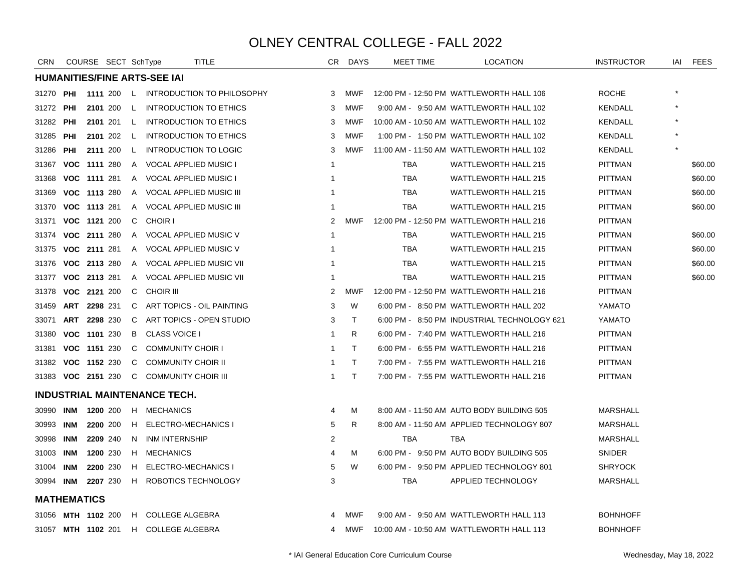| <b>CRN</b>         |            | COURSE SECT SchType |              |                                     | TITLE                                 | CR.            | DAYS         | <b>MEET TIME</b> | <b>LOCATION</b>                             | <b>INSTRUCTOR</b> | IAI | <b>FEES</b> |
|--------------------|------------|---------------------|--------------|-------------------------------------|---------------------------------------|----------------|--------------|------------------|---------------------------------------------|-------------------|-----|-------------|
|                    |            |                     |              | <b>HUMANITIES/FINE ARTS-SEE IAI</b> |                                       |                |              |                  |                                             |                   |     |             |
| 31270              | PHI        |                     |              |                                     | 1111 200 L INTRODUCTION TO PHILOSOPHY | 3              | MWF          |                  | 12:00 PM - 12:50 PM WATTLEWORTH HALL 106    | <b>ROCHE</b>      |     |             |
| 31272              | PHI        | 2101 200            | L.           |                                     | INTRODUCTION TO ETHICS                | 3              | <b>MWF</b>   |                  | 9:00 AM - 9:50 AM WATTLEWORTH HALL 102      | <b>KENDALL</b>    |     |             |
| 31282              | PHI        | 2101 201            | $\mathsf{L}$ |                                     | INTRODUCTION TO ETHICS                | 3              | <b>MWF</b>   |                  | 10:00 AM - 10:50 AM WATTLEWORTH HALL 102    | <b>KENDALL</b>    |     |             |
| 31285              | PHI        | 2101 202            | L.           |                                     | INTRODUCTION TO ETHICS                | 3              | <b>MWF</b>   |                  | 1:00 PM - 1:50 PM WATTLEWORTH HALL 102      | <b>KENDALL</b>    |     |             |
| 31286              | PHI        | 2111 200            | L.           |                                     | <b>INTRODUCTION TO LOGIC</b>          | 3              | <b>MWF</b>   |                  | 11:00 AM - 11:50 AM WATTLEWORTH HALL 102    | <b>KENDALL</b>    |     |             |
| 31367              |            | VOC 1111 280        | A            | <b>VOCAL APPLIED MUSIC I</b>        |                                       | -1             |              | <b>TBA</b>       | <b>WATTLEWORTH HALL 215</b>                 | <b>PITTMAN</b>    |     | \$60.00     |
| 31368              |            | VOC 1111 281        | A            | <b>VOCAL APPLIED MUSIC I</b>        |                                       | 1              |              | <b>TBA</b>       | <b>WATTLEWORTH HALL 215</b>                 | <b>PITTMAN</b>    |     | \$60.00     |
| 31369              |            | VOC 1113 280        | A            |                                     | VOCAL APPLIED MUSIC III               | -1             |              | <b>TBA</b>       | <b>WATTLEWORTH HALL 215</b>                 | <b>PITTMAN</b>    |     | \$60.00     |
| 31370              |            | VOC 1113 281        | A            |                                     | <b>VOCAL APPLIED MUSIC III</b>        | -1             |              | <b>TBA</b>       | <b>WATTLEWORTH HALL 215</b>                 | <b>PITTMAN</b>    |     | \$60.00     |
| 31371              |            | VOC 1121 200        | C.           | <b>CHOIR I</b>                      |                                       | $\overline{2}$ | <b>MWF</b>   |                  | 12:00 PM - 12:50 PM WATTLEWORTH HALL 216    | <b>PITTMAN</b>    |     |             |
| 31374              |            | VOC 2111 280        | $\mathsf{A}$ |                                     | VOCAL APPLIED MUSIC V                 | -1             |              | <b>TBA</b>       | <b>WATTLEWORTH HALL 215</b>                 | <b>PITTMAN</b>    |     | \$60.00     |
| 31375              |            | VOC 2111 281        | A            |                                     | VOCAL APPLIED MUSIC V                 | $\overline{1}$ |              | <b>TBA</b>       | <b>WATTLEWORTH HALL 215</b>                 | <b>PITTMAN</b>    |     | \$60.00     |
| 31376              |            | VOC 2113 280        | $\mathsf{A}$ |                                     | VOCAL APPLIED MUSIC VII               | -1             |              | TBA              | <b>WATTLEWORTH HALL 215</b>                 | <b>PITTMAN</b>    |     | \$60.00     |
| 31377              |            | VOC 2113 281        | $\mathsf{A}$ |                                     | <b>VOCAL APPLIED MUSIC VII</b>        | -1             |              | <b>TBA</b>       | <b>WATTLEWORTH HALL 215</b>                 | <b>PITTMAN</b>    |     | \$60.00     |
| 31378              |            | VOC 2121 200        | C.           | <b>CHOIR III</b>                    |                                       | 2              | <b>MWF</b>   |                  | 12:00 PM - 12:50 PM WATTLEWORTH HALL 216    | <b>PITTMAN</b>    |     |             |
| 31459              |            | ART 2298 231        | C.           |                                     | ART TOPICS - OIL PAINTING             | 3              | W            |                  | 6:00 PM - 8:50 PM WATTLEWORTH HALL 202      | YAMATO            |     |             |
| 33071              |            | ART 2298 230        | $\mathbf{C}$ |                                     | ART TOPICS - OPEN STUDIO              | 3              | $\mathsf{T}$ |                  | 6:00 PM - 8:50 PM INDUSTRIAL TECHNOLOGY 621 | YAMATO            |     |             |
| 31380              |            | VOC 1101 230        | B            | <b>CLASS VOICE I</b>                |                                       | -1             | R.           |                  | 6:00 PM - 7:40 PM WATTLEWORTH HALL 216      | <b>PITTMAN</b>    |     |             |
| 31381              |            | VOC 1151 230        | C            | <b>COMMUNITY CHOIR I</b>            |                                       | -1             | T.           |                  | 6:00 PM - 6:55 PM WATTLEWORTH HALL 216      | <b>PITTMAN</b>    |     |             |
| 31382              |            | VOC 1152 230        | C            | <b>COMMUNITY CHOIR II</b>           |                                       | -1             | T.           |                  | 7:00 PM - 7:55 PM WATTLEWORTH HALL 216      | <b>PITTMAN</b>    |     |             |
| 31383 VOC 2151 230 |            |                     | $\mathsf{C}$ | <b>COMMUNITY CHOIR III</b>          |                                       | $\mathbf{1}$   | T.           |                  | 7:00 PM - 7:55 PM WATTLEWORTH HALL 216      | <b>PITTMAN</b>    |     |             |
|                    |            |                     |              | <b>INDUSTRIAL MAINTENANCE TECH.</b> |                                       |                |              |                  |                                             |                   |     |             |
| 30990              | INM        | 1200 200            | H.           | MECHANICS                           |                                       | 4              | М            |                  | 8:00 AM - 11:50 AM AUTO BODY BUILDING 505   | <b>MARSHALL</b>   |     |             |
| 30993              | INM        | 2200 200            | H.           | <b>ELECTRO-MECHANICS I</b>          |                                       | 5              | R.           |                  | 8:00 AM - 11:50 AM APPLIED TECHNOLOGY 807   | <b>MARSHALL</b>   |     |             |
| 30998              | <b>INM</b> | 2209 240            | N.           | <b>INM INTERNSHIP</b>               |                                       | 2              |              | <b>TBA</b>       | <b>TBA</b>                                  | <b>MARSHALL</b>   |     |             |
| 31003              | <b>INM</b> | 1200 230            | H            | <b>MECHANICS</b>                    |                                       | 4              | м            |                  | 6:00 PM - 9:50 PM AUTO BODY BUILDING 505    | <b>SNIDER</b>     |     |             |
| 31004 INM          |            | 2200 230            | H            | ELECTRO-MECHANICS I                 |                                       | 5              | W            |                  | 6:00 PM - 9:50 PM APPLIED TECHNOLOGY 801    | <b>SHRYOCK</b>    |     |             |
| 30994 INM          |            | 2207 230            | H            |                                     | ROBOTICS TECHNOLOGY                   | 3              |              | TBA              | APPLIED TECHNOLOGY                          | <b>MARSHALL</b>   |     |             |
| <b>MATHEMATICS</b> |            |                     |              |                                     |                                       |                |              |                  |                                             |                   |     |             |
| 31056              |            | <b>MTH 1102 200</b> |              | H COLLEGE ALGEBRA                   |                                       |                | MWF          |                  | 9:00 AM - 9:50 AM WATTLEWORTH HALL 113      | <b>BOHNHOFF</b>   |     |             |
| 31057 MTH 1102 201 |            |                     |              | H COLLEGE ALGEBRA                   |                                       | 4              | <b>MWF</b>   |                  | 10:00 AM - 10:50 AM WATTLEWORTH HALL 113    | <b>BOHNHOFF</b>   |     |             |
|                    |            |                     |              |                                     |                                       |                |              |                  |                                             |                   |     |             |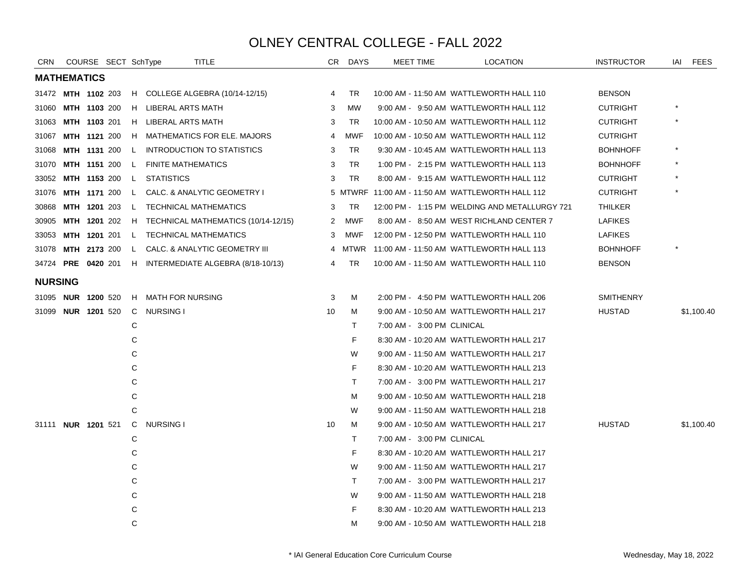| CRN            |                    | COURSE SECT SchType       |              | <b>TITLE</b>                          |    | CR DAYS    | MEET TIME                  | <b>LOCATION</b>                                  | <b>INSTRUCTOR</b> | FEES<br>IAI |  |
|----------------|--------------------|---------------------------|--------------|---------------------------------------|----|------------|----------------------------|--------------------------------------------------|-------------------|-------------|--|
|                | <b>MATHEMATICS</b> |                           |              |                                       |    |            |                            |                                                  |                   |             |  |
|                |                    | 31472 MTH 1102 203        |              | H COLLEGE ALGEBRA (10/14-12/15)       | 4  | TR.        |                            | 10:00 AM - 11:50 AM WATTLEWORTH HALL 110         | <b>BENSON</b>     |             |  |
| 31060          |                    | <b>MTH 1103 200</b>       |              | H LIBERAL ARTS MATH                   | 3  | <b>MW</b>  |                            | 9:00 AM - 9:50 AM WATTLEWORTH HALL 112           | <b>CUTRIGHT</b>   |             |  |
| 31063          |                    | <b>MTH 1103 201</b>       |              | H LIBERAL ARTS MATH                   | 3  | <b>TR</b>  |                            | 10:00 AM - 10:50 AM WATTLEWORTH HALL 112         | <b>CUTRIGHT</b>   |             |  |
| 31067          |                    | <b>MTH 1121 200</b>       |              | H MATHEMATICS FOR ELE. MAJORS         | 4  | <b>MWF</b> |                            | 10:00 AM - 10:50 AM WATTLEWORTH HALL 112         | <b>CUTRIGHT</b>   |             |  |
| 31068          |                    | <b>MTH 1131 200</b>       | $\mathsf{L}$ | <b>INTRODUCTION TO STATISTICS</b>     | 3  | TR.        |                            | 9:30 AM - 10:45 AM WATTLEWORTH HALL 113          | <b>BOHNHOFF</b>   |             |  |
| 31070          |                    | <b>MTH 1151 200</b>       |              | L FINITE MATHEMATICS                  | 3  | <b>TR</b>  |                            | 1:00 PM - 2:15 PM WATTLEWORTH HALL 113           | <b>BOHNHOFF</b>   |             |  |
|                |                    | 33052 MTH 1153 200        |              | L STATISTICS                          | 3  | TR         |                            | 8:00 AM - 9:15 AM WATTLEWORTH HALL 112           | <b>CUTRIGHT</b>   |             |  |
| 31076          |                    | <b>MTH 1171 200</b>       | $\mathsf{L}$ | CALC. & ANALYTIC GEOMETRY I           |    |            |                            | 5 MTWRF 11:00 AM - 11:50 AM WATTLEWORTH HALL 112 | <b>CUTRIGHT</b>   |             |  |
| 30868          |                    | <b>MTH 1201 203</b>       | $\mathsf{L}$ | <b>TECHNICAL MATHEMATICS</b>          | 3  | TR.        |                            | 12:00 PM - 1:15 PM WELDING AND METALLURGY 721    | THILKER           |             |  |
| 30905          |                    | <b>MTH 1201 202</b>       |              | H TECHNICAL MATHEMATICS (10/14-12/15) | 2  | MWF        |                            | 8:00 AM - 8:50 AM WEST RICHLAND CENTER 7         | <b>LAFIKES</b>    |             |  |
| 33053          |                    | MTH 1201 201              |              | L TECHNICAL MATHEMATICS               | 3  | MWF        |                            | 12:00 PM - 12:50 PM WATTLEWORTH HALL 110         | <b>LAFIKES</b>    |             |  |
| 31078          |                    | <b>MTH 2173 200</b>       | L.           | CALC. & ANALYTIC GEOMETRY III         | 4  | MTWR       |                            | 11:00 AM - 11:50 AM WATTLEWORTH HALL 113         | <b>BOHNHOFF</b>   |             |  |
|                |                    | 34724 PRE 0420 201        |              | H INTERMEDIATE ALGEBRA (8/18-10/13)   | 4  | <b>TR</b>  |                            | 10:00 AM - 11:50 AM WATTLEWORTH HALL 110         | <b>BENSON</b>     |             |  |
| <b>NURSING</b> |                    |                           |              |                                       |    |            |                            |                                                  |                   |             |  |
|                |                    | 31095 <b>NUR 1200</b> 520 |              | H MATH FOR NURSING                    | 3  | М          |                            | 2:00 PM - 4:50 PM WATTLEWORTH HALL 206           | <b>SMITHENRY</b>  |             |  |
|                |                    | 31099 <b>NUR 1201</b> 520 |              | C NURSING I                           | 10 | М          |                            | 9:00 AM - 10:50 AM WATTLEWORTH HALL 217          | <b>HUSTAD</b>     | \$1,100.40  |  |
|                |                    |                           | С            |                                       |    | T.         | 7:00 AM - 3:00 PM CLINICAL |                                                  |                   |             |  |
|                |                    |                           | С            |                                       |    | F          |                            | 8:30 AM - 10:20 AM WATTLEWORTH HALL 217          |                   |             |  |
|                |                    |                           | С            |                                       |    | W          |                            | 9:00 AM - 11:50 AM WATTLEWORTH HALL 217          |                   |             |  |
|                |                    |                           | С            |                                       |    | F          |                            | 8:30 AM - 10:20 AM WATTLEWORTH HALL 213          |                   |             |  |
|                |                    |                           | С            |                                       |    | T.         |                            | 7:00 AM - 3:00 PM WATTLEWORTH HALL 217           |                   |             |  |
|                |                    |                           | С            |                                       |    | м          |                            | 9:00 AM - 10:50 AM WATTLEWORTH HALL 218          |                   |             |  |
|                |                    |                           | C            |                                       |    | W          |                            | 9:00 AM - 11:50 AM WATTLEWORTH HALL 218          |                   |             |  |
|                |                    | 31111 <b>NUR 1201</b> 521 | $\mathsf{C}$ | <b>NURSING I</b>                      | 10 | М          |                            | 9:00 AM - 10:50 AM WATTLEWORTH HALL 217          | <b>HUSTAD</b>     | \$1,100.40  |  |
|                |                    |                           | С            |                                       |    | T.         | 7:00 AM - 3:00 PM CLINICAL |                                                  |                   |             |  |
|                |                    |                           | С            |                                       |    | F          |                            | 8:30 AM - 10:20 AM WATTLEWORTH HALL 217          |                   |             |  |
|                |                    |                           | С            |                                       |    | W          |                            | 9:00 AM - 11:50 AM WATTLEWORTH HALL 217          |                   |             |  |
|                |                    |                           | С            |                                       |    | T.         |                            | 7:00 AM - 3:00 PM WATTLEWORTH HALL 217           |                   |             |  |
|                |                    |                           | С            |                                       |    | W          |                            | 9:00 AM - 11:50 AM WATTLEWORTH HALL 218          |                   |             |  |
|                |                    |                           | С            |                                       |    | F          |                            | 8:30 AM - 10:20 AM WATTLEWORTH HALL 213          |                   |             |  |
|                |                    |                           | C            |                                       |    | м          |                            | 9:00 AM - 10:50 AM WATTLEWORTH HALL 218          |                   |             |  |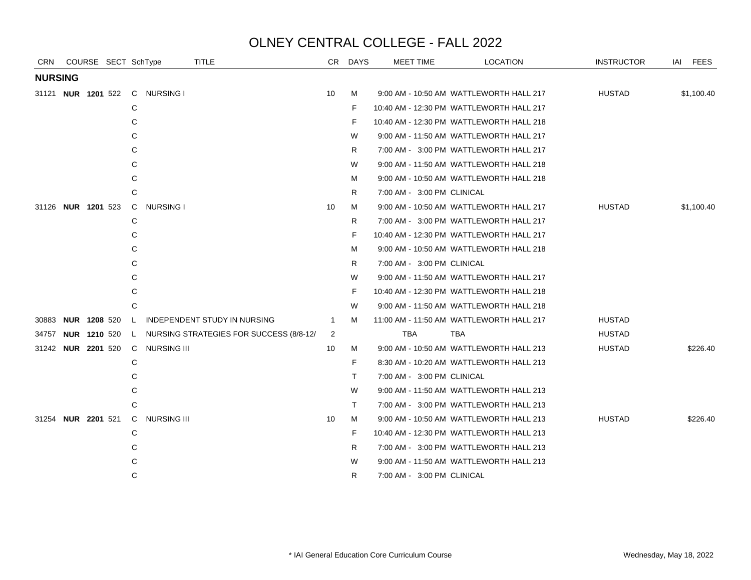| <b>CRN</b>                |  |                | COURSE SECT SchType                | TITLE                                   | CR.            | DAYS | MEET TIME                  | <b>LOCATION</b>                          | <b>INSTRUCTOR</b> | IAI FEES   |
|---------------------------|--|----------------|------------------------------------|-----------------------------------------|----------------|------|----------------------------|------------------------------------------|-------------------|------------|
| <b>NURSING</b>            |  |                |                                    |                                         |                |      |                            |                                          |                   |            |
| 31121 <b>NUR 1201</b> 522 |  |                | C NURSING I                        |                                         | 10             | М    |                            | 9:00 AM - 10:50 AM WATTLEWORTH HALL 217  | <b>HUSTAD</b>     | \$1,100.40 |
|                           |  |                | С                                  |                                         |                | F.   |                            | 10:40 AM - 12:30 PM WATTLEWORTH HALL 217 |                   |            |
|                           |  |                | С                                  |                                         |                | F    |                            | 10:40 AM - 12:30 PM WATTLEWORTH HALL 218 |                   |            |
|                           |  |                | С                                  |                                         |                | W    |                            | 9:00 AM - 11:50 AM WATTLEWORTH HALL 217  |                   |            |
|                           |  |                | С                                  |                                         |                | R    |                            | 7:00 AM - 3:00 PM WATTLEWORTH HALL 217   |                   |            |
|                           |  |                | C                                  |                                         |                | W    |                            | 9:00 AM - 11:50 AM WATTLEWORTH HALL 218  |                   |            |
|                           |  |                | C                                  |                                         |                | М    |                            | 9:00 AM - 10:50 AM WATTLEWORTH HALL 218  |                   |            |
|                           |  |                | C                                  |                                         |                | R    | 7:00 AM - 3:00 PM CLINICAL |                                          |                   |            |
| 31126 NUR 1201 523        |  |                | <b>NURSING I</b><br>$\mathsf{C}$   |                                         | 10             | м    |                            | 9:00 AM - 10:50 AM WATTLEWORTH HALL 217  | <b>HUSTAD</b>     | \$1,100.40 |
|                           |  |                | С                                  |                                         |                | R.   |                            | 7:00 AM - 3:00 PM WATTLEWORTH HALL 217   |                   |            |
|                           |  |                | C                                  |                                         |                | F    |                            | 10:40 AM - 12:30 PM WATTLEWORTH HALL 217 |                   |            |
|                           |  |                | C                                  |                                         |                | м    |                            | 9:00 AM - 10:50 AM WATTLEWORTH HALL 218  |                   |            |
|                           |  |                | C                                  |                                         |                | R    | 7:00 AM - 3:00 PM CLINICAL |                                          |                   |            |
|                           |  |                |                                    |                                         |                | W    |                            | 9:00 AM - 11:50 AM WATTLEWORTH HALL 217  |                   |            |
|                           |  |                | С                                  |                                         |                | F    |                            | 10:40 AM - 12:30 PM WATTLEWORTH HALL 218 |                   |            |
|                           |  |                | C                                  |                                         |                | W    |                            | 9:00 AM - 11:50 AM WATTLEWORTH HALL 218  |                   |            |
| 30883 NUR 1208 520        |  |                | $\mathsf{L}$                       | INDEPENDENT STUDY IN NURSING            | $\overline{1}$ | М    |                            | 11:00 AM - 11:50 AM WATTLEWORTH HALL 217 | <b>HUSTAD</b>     |            |
| 34757                     |  | NUR 1210 520 L |                                    | NURSING STRATEGIES FOR SUCCESS (8/8-12/ | $\overline{2}$ |      | <b>TBA</b>                 | TBA                                      | <b>HUSTAD</b>     |            |
| 31242 <b>NUR 2201</b> 520 |  |                | C NURSING III                      |                                         | 10             | М    |                            | 9:00 AM - 10:50 AM WATTLEWORTH HALL 213  | <b>HUSTAD</b>     | \$226.40   |
|                           |  |                | С                                  |                                         |                | F    |                            | 8:30 AM - 10:20 AM WATTLEWORTH HALL 213  |                   |            |
|                           |  |                | С                                  |                                         |                | T.   | 7:00 AM - 3:00 PM CLINICAL |                                          |                   |            |
|                           |  |                | С                                  |                                         |                | W    |                            | 9:00 AM - 11:50 AM WATTLEWORTH HALL 213  |                   |            |
|                           |  |                | C                                  |                                         |                | T.   |                            | 7:00 AM - 3:00 PM WATTLEWORTH HALL 213   |                   |            |
| 31254 NUR 2201 521        |  |                | <b>NURSING III</b><br>$\mathbf{C}$ |                                         | 10             | М    |                            | 9:00 AM - 10:50 AM WATTLEWORTH HALL 213  | <b>HUSTAD</b>     | \$226.40   |
|                           |  |                | С                                  |                                         |                | F    |                            | 10:40 AM - 12:30 PM WATTLEWORTH HALL 213 |                   |            |
|                           |  |                | C                                  |                                         |                | R    |                            | 7:00 AM - 3:00 PM WATTLEWORTH HALL 213   |                   |            |
|                           |  |                | C                                  |                                         |                | W    |                            | 9:00 AM - 11:50 AM WATTLEWORTH HALL 213  |                   |            |
|                           |  |                | C                                  |                                         |                | R    | 7:00 AM - 3:00 PM CLINICAL |                                          |                   |            |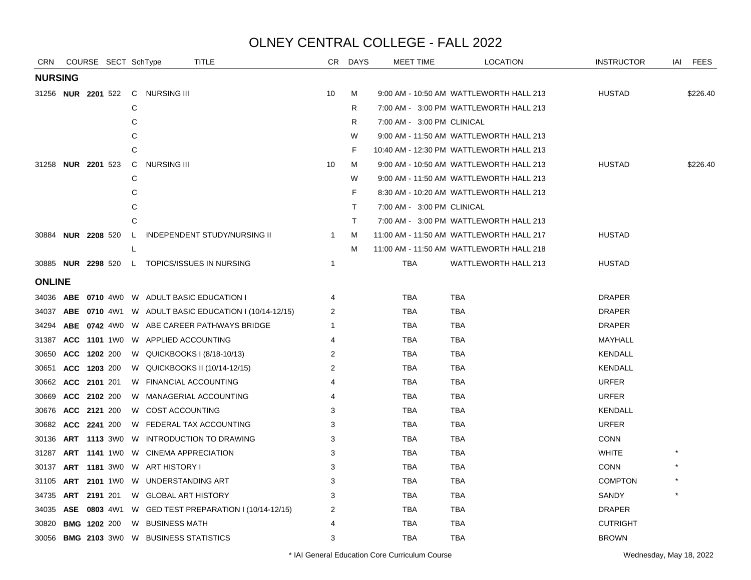| CRN                       |            |                     | COURSE SECT SchType |              | <b>TITLE</b>                                                | CR             | <b>DAYS</b> | MEET TIME                  | <b>LOCATION</b>                          | <b>INSTRUCTOR</b> | IAI | <b>FEES</b> |
|---------------------------|------------|---------------------|---------------------|--------------|-------------------------------------------------------------|----------------|-------------|----------------------------|------------------------------------------|-------------------|-----|-------------|
| <b>NURSING</b>            |            |                     |                     |              |                                                             |                |             |                            |                                          |                   |     |             |
|                           |            |                     |                     |              | 31256 NUR 2201 522 C NURSING III                            | 10             | M           |                            | 9:00 AM - 10:50 AM WATTLEWORTH HALL 213  | <b>HUSTAD</b>     |     | \$226.40    |
|                           |            |                     |                     | C            |                                                             |                | R.          |                            | 7:00 AM - 3:00 PM WATTLEWORTH HALL 213   |                   |     |             |
|                           |            |                     |                     | C            |                                                             |                | R           | 7:00 AM - 3:00 PM CLINICAL |                                          |                   |     |             |
|                           |            |                     |                     | C            |                                                             |                | W           |                            | 9:00 AM - 11:50 AM WATTLEWORTH HALL 213  |                   |     |             |
|                           |            |                     |                     | C            |                                                             |                | F.          |                            | 10:40 AM - 12:30 PM WATTLEWORTH HALL 213 |                   |     |             |
| 31258 <b>NUR 2201</b> 523 |            |                     |                     | $\mathsf{C}$ | <b>NURSING III</b>                                          | 10             | М           |                            | 9:00 AM - 10:50 AM WATTLEWORTH HALL 213  | <b>HUSTAD</b>     |     | \$226.40    |
|                           |            |                     |                     | C            |                                                             |                | W           |                            | 9:00 AM - 11:50 AM WATTLEWORTH HALL 213  |                   |     |             |
|                           |            |                     |                     | C            |                                                             |                | F.          |                            | 8:30 AM - 10:20 AM WATTLEWORTH HALL 213  |                   |     |             |
|                           |            |                     |                     | C            |                                                             |                | T.          | 7:00 AM - 3:00 PM CLINICAL |                                          |                   |     |             |
|                           |            |                     |                     | C            |                                                             |                | T.          |                            | 7:00 AM - 3:00 PM WATTLEWORTH HALL 213   |                   |     |             |
| 30884 <b>NUR 2208</b> 520 |            |                     |                     | $\mathsf{L}$ | INDEPENDENT STUDY/NURSING II                                | $\mathbf{1}$   | м           |                            | 11:00 AM - 11:50 AM WATTLEWORTH HALL 217 | <b>HUSTAD</b>     |     |             |
|                           |            |                     |                     | L            |                                                             |                | м           |                            | 11:00 AM - 11:50 AM WATTLEWORTH HALL 218 |                   |     |             |
|                           |            |                     |                     |              | 30885 NUR 2298 520 L TOPICS/ISSUES IN NURSING               | $\mathbf{1}$   |             | TBA                        | WATTLEWORTH HALL 213                     | <b>HUSTAD</b>     |     |             |
| <b>ONLINE</b>             |            |                     |                     |              |                                                             |                |             |                            |                                          |                   |     |             |
|                           |            |                     |                     |              | 34036 ABE 0710 4W0 W ADULT BASIC EDUCATION I                | 4              |             | <b>TBA</b>                 | <b>TBA</b>                               | <b>DRAPER</b>     |     |             |
| 34037                     |            |                     |                     |              | <b>ABE 0710 4W1 W ADULT BASIC EDUCATION I (10/14-12/15)</b> | 2              |             | <b>TBA</b>                 | <b>TBA</b>                               | <b>DRAPER</b>     |     |             |
| 34294                     |            |                     |                     |              | ABE 0742 4W0 W ABE CAREER PATHWAYS BRIDGE                   | 1              |             | <b>TBA</b>                 | <b>TBA</b>                               | <b>DRAPER</b>     |     |             |
| 31387                     |            |                     |                     |              | ACC 1101 1W0 W APPLIED ACCOUNTING                           | 4              |             | TBA                        | TBA                                      | MAYHALL           |     |             |
| 30650                     |            | ACC 1202 200        |                     |              | W QUICKBOOKS I (8/18-10/13)                                 | 2              |             | TBA                        | TBA                                      | KENDALL           |     |             |
| 30651                     |            | ACC 1203 200        |                     |              | W QUICKBOOKS II (10/14-12/15)                               | $\overline{2}$ |             | TBA                        | <b>TBA</b>                               | <b>KENDALL</b>    |     |             |
| 30662                     |            | ACC 2101 201        |                     |              | W FINANCIAL ACCOUNTING                                      | 4              |             | TBA                        | <b>TBA</b>                               | <b>URFER</b>      |     |             |
| 30669                     |            | ACC 2102 200        |                     |              | W MANAGERIAL ACCOUNTING                                     | 4              |             | TBA                        | TBA                                      | <b>URFER</b>      |     |             |
| 30676                     |            | ACC 2121 200        |                     |              | W COST ACCOUNTING                                           | 3              |             | TBA                        | <b>TBA</b>                               | <b>KENDALL</b>    |     |             |
| 30682                     |            | ACC 2241 200        |                     |              | W FEDERAL TAX ACCOUNTING                                    | 3              |             | TBA                        | <b>TBA</b>                               | <b>URFER</b>      |     |             |
| 30136                     |            |                     | <b>ART 1113 3W0</b> |              | W INTRODUCTION TO DRAWING                                   | 3              |             | TBA                        | TBA                                      | <b>CONN</b>       |     |             |
| 31287                     |            | <b>ART 1141 1W0</b> |                     |              | W CINEMA APPRECIATION                                       | 3              |             | <b>TBA</b>                 | <b>TBA</b>                               | <b>WHITE</b>      |     |             |
| 30137                     |            |                     | <b>ART 1181 3W0</b> |              | W ART HISTORY I                                             | 3              |             | <b>TBA</b>                 | <b>TBA</b>                               | <b>CONN</b>       |     |             |
| 31105                     |            |                     |                     |              | <b>ART 2101 1WO W UNDERSTANDING ART</b>                     | 3              |             | <b>TBA</b>                 | <b>TBA</b>                               | <b>COMPTON</b>    |     |             |
| 34735                     |            | ART 2191 201        |                     |              | W GLOBAL ART HISTORY                                        | 3              |             | TBA                        | <b>TBA</b>                               | SANDY             |     |             |
| 34035                     | <b>ASE</b> |                     |                     |              | 0803 4W1 W GED TEST PREPARATION I (10/14-12/15)             | 2              |             | <b>TBA</b>                 | <b>TBA</b>                               | <b>DRAPER</b>     |     |             |
| 30820                     |            | <b>BMG 1202 200</b> |                     |              | W BUSINESS MATH                                             | 4              |             | TBA                        | <b>TBA</b>                               | <b>CUTRIGHT</b>   |     |             |
|                           |            |                     |                     |              | 30056 BMG 2103 3W0 W BUSINESS STATISTICS                    | 3              |             | <b>TBA</b>                 | <b>TBA</b>                               | <b>BROWN</b>      |     |             |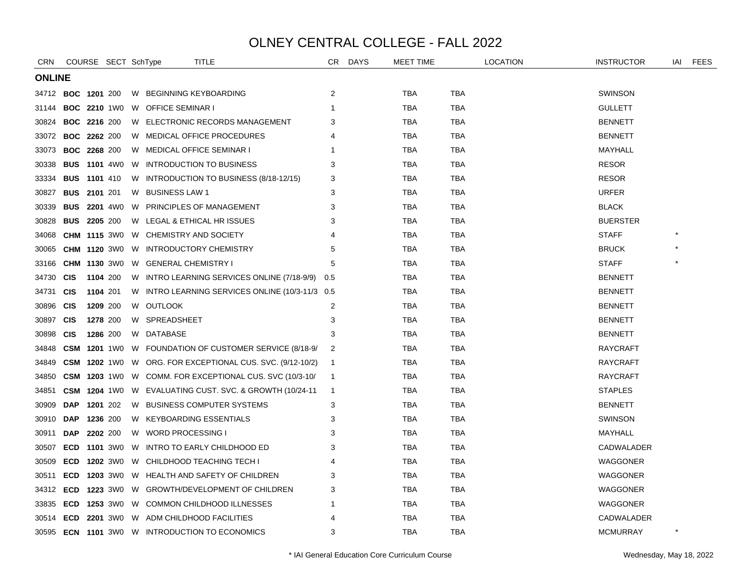| <b>CRN</b>                |                     |                     | COURSE SECT SchType |   | TITLE                                                          | CR.            | DAYS | <b>MEET TIME</b> |            | <b>LOCATION</b> | <b>INSTRUCTOR</b> | iai | <b>FEES</b> |
|---------------------------|---------------------|---------------------|---------------------|---|----------------------------------------------------------------|----------------|------|------------------|------------|-----------------|-------------------|-----|-------------|
| <b>ONLINE</b>             |                     |                     |                     |   |                                                                |                |      |                  |            |                 |                   |     |             |
| 34712 <b>BOC 1201</b> 200 |                     |                     |                     |   | W BEGINNING KEYBOARDING                                        | 2              |      | <b>TBA</b>       | TBA        |                 | <b>SWINSON</b>    |     |             |
| 31144                     |                     |                     | <b>BOC 2210 1W0</b> |   | W OFFICE SEMINAR I                                             | -1             |      | <b>TBA</b>       | <b>TBA</b> |                 | <b>GULLETT</b>    |     |             |
| 30824                     |                     | <b>BOC 2216 200</b> |                     |   | W ELECTRONIC RECORDS MANAGEMENT                                | 3              |      | <b>TBA</b>       | <b>TBA</b> |                 | <b>BENNETT</b>    |     |             |
| 33072                     | <b>BOC 2262 200</b> |                     |                     |   | W MEDICAL OFFICE PROCEDURES                                    | 4              |      | <b>TBA</b>       | TBA        |                 | <b>BENNETT</b>    |     |             |
| 33073                     | <b>BOC 2268 200</b> |                     |                     |   | W MEDICAL OFFICE SEMINAR I                                     | -1             |      | <b>TBA</b>       | TBA        |                 | MAYHALL           |     |             |
| 30338                     |                     |                     | <b>BUS 1101 4W0</b> |   | W INTRODUCTION TO BUSINESS                                     | 3              |      | <b>TBA</b>       | TBA        |                 | <b>RESOR</b>      |     |             |
| 33334                     | <b>BUS</b> 1101 410 |                     |                     |   | W INTRODUCTION TO BUSINESS (8/18-12/15)                        | 3              |      | TBA              | TBA        |                 | <b>RESOR</b>      |     |             |
| 30827                     | <b>BUS 2101 201</b> |                     |                     |   | W BUSINESS LAW 1                                               | 3              |      | <b>TBA</b>       | <b>TBA</b> |                 | <b>URFER</b>      |     |             |
| 30339                     |                     |                     |                     |   | <b>BUS 2201 4W0 W PRINCIPLES OF MANAGEMENT</b>                 | 3              |      | TBA              | <b>TBA</b> |                 | <b>BLACK</b>      |     |             |
| 30828                     | <b>BUS</b>          | 2205 200            |                     |   | W LEGAL & ETHICAL HR ISSUES                                    | 3              |      | TBA              | <b>TBA</b> |                 | <b>BUERSTER</b>   |     |             |
| 34068                     |                     |                     | <b>CHM 1115 3W0</b> |   | W CHEMISTRY AND SOCIETY                                        | 4              |      | <b>TBA</b>       | TBA        |                 | <b>STAFF</b>      |     |             |
| 30065                     |                     |                     | <b>CHM 1120 3W0</b> | W | INTRODUCTORY CHEMISTRY                                         | 5              |      | TBA              | TBA        |                 | <b>BRUCK</b>      |     |             |
| 33166                     |                     |                     | <b>CHM 1130 3W0</b> |   | W GENERAL CHEMISTRY I                                          | 5              |      | <b>TBA</b>       | <b>TBA</b> |                 | <b>STAFF</b>      |     |             |
| 34730                     | <b>CIS</b>          | 1104 200            |                     |   | W INTRO LEARNING SERVICES ONLINE (7/18-9/9) 0.5                |                |      | <b>TBA</b>       | <b>TBA</b> |                 | <b>BENNETT</b>    |     |             |
| 34731                     | <b>CIS</b>          | 1104 201            |                     |   | W INTRO LEARNING SERVICES ONLINE (10/3-11/3 0.5                |                |      | <b>TBA</b>       | TBA        |                 | <b>BENNETT</b>    |     |             |
| 30896                     | <b>CIS</b>          | 1209 200            |                     |   | W OUTLOOK                                                      | 2              |      | <b>TBA</b>       | TBA        |                 | <b>BENNETT</b>    |     |             |
| 30897                     | <b>CIS</b>          | 1278 200            |                     |   | W SPREADSHEET                                                  | 3              |      | <b>TBA</b>       | TBA        |                 | <b>BENNETT</b>    |     |             |
| 30898                     | <b>CIS</b>          | 1286 200            |                     |   | W DATABASE                                                     | 3              |      | <b>TBA</b>       | TBA        |                 | <b>BENNETT</b>    |     |             |
| 34848                     | <b>CSM</b>          |                     |                     |   | 1201 1W0 W FOUNDATION OF CUSTOMER SERVICE (8/18-9/             | $\overline{2}$ |      | <b>TBA</b>       | <b>TBA</b> |                 | <b>RAYCRAFT</b>   |     |             |
| 34849                     |                     |                     |                     |   | CSM 1202 1W0 W ORG. FOR EXCEPTIONAL CUS. SVC. (9/12-10/2)      | -1             |      | <b>TBA</b>       | TBA        |                 | <b>RAYCRAFT</b>   |     |             |
| 34850                     |                     |                     |                     |   | <b>CSM 1203</b> 1W0 W COMM. FOR EXCEPTIONAL CUS. SVC (10/3-10/ | $\mathbf{1}$   |      | TBA              | TBA        |                 | <b>RAYCRAFT</b>   |     |             |
| 34851                     | <b>CSM</b>          |                     | <b>1204</b> 1W0     |   | W EVALUATING CUST. SVC. & GROWTH (10/24-11                     | $\overline{1}$ |      | <b>TBA</b>       | TBA        |                 | <b>STAPLES</b>    |     |             |
| 30909                     | <b>DAP</b>          | 1201 202            |                     |   | W BUSINESS COMPUTER SYSTEMS                                    | 3              |      | <b>TBA</b>       | <b>TBA</b> |                 | <b>BENNETT</b>    |     |             |
| 30910                     | <b>DAP</b>          | 1236 200            |                     |   | W KEYBOARDING ESSENTIALS                                       | 3              |      | <b>TBA</b>       | <b>TBA</b> |                 | SWINSON           |     |             |
| 30911                     | <b>DAP</b>          | 2202 200            |                     |   | W WORD PROCESSING I                                            | 3              |      | <b>TBA</b>       | TBA        |                 | MAYHALL           |     |             |
| 30507                     | <b>ECD</b>          |                     | <b>1101</b> 3W0     |   | W INTRO TO EARLY CHILDHOOD ED                                  | 3              |      | <b>TBA</b>       | TBA        |                 | CADWALADER        |     |             |
| 30509                     | ECD                 |                     | <b>1202</b> 3W0     |   | W CHILDHOOD TEACHING TECH I                                    | 4              |      | <b>TBA</b>       | TBA        |                 | <b>WAGGONER</b>   |     |             |
| 30511                     | <b>ECD</b>          |                     |                     |   | 1203 3W0 W HEALTH AND SAFETY OF CHILDREN                       | 3              |      | <b>TBA</b>       | <b>TBA</b> |                 | WAGGONER          |     |             |
| 34312                     |                     |                     |                     |   | <b>ECD 1223 3W0 W GROWTH/DEVELOPMENT OF CHILDREN</b>           | 3              |      | <b>TBA</b>       | TBA        |                 | WAGGONER          |     |             |
| 33835                     |                     |                     |                     |   | <b>ECD 1253 3W0 W COMMON CHILDHOOD ILLNESSES</b>               | -1             |      | <b>TBA</b>       | TBA        |                 | <b>WAGGONER</b>   |     |             |
| 30514                     | <b>ECD</b>          |                     |                     |   | 2201 3WO W ADM CHILDHOOD FACILITIES                            | 4              |      | <b>TBA</b>       | TBA        |                 | CADWALADER        |     |             |
| 30595                     |                     |                     |                     |   | <b>ECN 1101 3W0 W INTRODUCTION TO ECONOMICS</b>                | 3              |      | <b>TBA</b>       | <b>TBA</b> |                 | <b>MCMURRAY</b>   |     |             |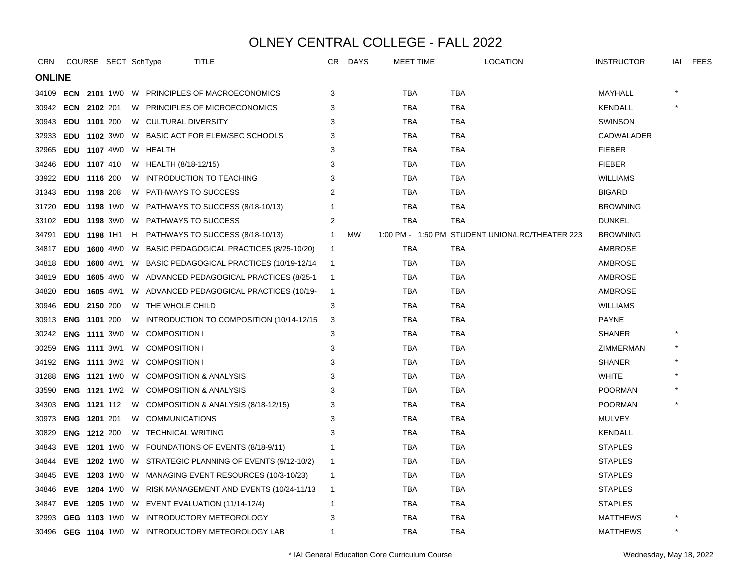| <b>CRN</b>                |                     | COURSE SECT SchType |   |                                           | <b>TITLE</b>                                                   | CR           | <b>DAYS</b> | <b>MEET TIME</b> | <b>LOCATION</b>                                 | <b>INSTRUCTOR</b> | iai | <b>FEES</b> |
|---------------------------|---------------------|---------------------|---|-------------------------------------------|----------------------------------------------------------------|--------------|-------------|------------------|-------------------------------------------------|-------------------|-----|-------------|
| <b>ONLINE</b>             |                     |                     |   |                                           |                                                                |              |             |                  |                                                 |                   |     |             |
| 34109                     |                     |                     |   |                                           | <b>ECN 2101 1WO W PRINCIPLES OF MACROECONOMICS</b>             | 3            |             | TBA              | TBA                                             | MAYHALL           |     |             |
| 30942 <b>ECN 2102</b> 201 |                     |                     |   |                                           | W PRINCIPLES OF MICROECONOMICS                                 | 3            |             | TBA              | <b>TBA</b>                                      | KENDALL           |     |             |
| 30943                     |                     | EDU 1101 200        |   | W CULTURAL DIVERSITY                      |                                                                | 3            |             | <b>TBA</b>       | <b>TBA</b>                                      | <b>SWINSON</b>    |     |             |
| 32933                     |                     | EDU 1102 3W0        |   |                                           | W BASIC ACT FOR ELEM/SEC SCHOOLS                               | 3            |             | TBA              | <b>TBA</b>                                      | CADWALADER        |     |             |
| 32965                     |                     | EDU 1107 4W0        |   | W HEALTH                                  |                                                                | 3            |             | TBA              | <b>TBA</b>                                      | <b>FIEBER</b>     |     |             |
| 34246                     |                     | EDU 1107 410        |   | W HEALTH (8/18-12/15)                     |                                                                | 3            |             | <b>TBA</b>       | <b>TBA</b>                                      | <b>FIEBER</b>     |     |             |
| 33922                     |                     | EDU 1116 200        |   |                                           | W INTRODUCTION TO TEACHING                                     | 3            |             | TBA              | TBA                                             | <b>WILLIAMS</b>   |     |             |
| 31343                     |                     | EDU 1198 208        |   | W PATHWAYS TO SUCCESS                     |                                                                | 2            |             | TBA              | TBA                                             | <b>BIGARD</b>     |     |             |
| 31720                     |                     |                     |   |                                           | <b>EDU 1198</b> 1W0 W PATHWAYS TO SUCCESS (8/18-10/13)         |              |             | TBA              | TBA                                             | <b>BROWNING</b>   |     |             |
| 33102                     |                     |                     |   | <b>EDU 1198 3WO W PATHWAYS TO SUCCESS</b> |                                                                | 2            |             | TBA              | <b>TBA</b>                                      | <b>DUNKEL</b>     |     |             |
| 34791                     |                     | EDU 1198 1H1        | H |                                           | PATHWAYS TO SUCCESS (8/18-10/13)                               | 1            | MW          |                  | 1:00 PM - 1:50 PM STUDENT UNION/LRC/THEATER 223 | <b>BROWNING</b>   |     |             |
| 34817                     |                     | <b>EDU 1600 4W0</b> |   |                                           | W BASIC PEDAGOGICAL PRACTICES (8/25-10/20)                     | $\mathbf 1$  |             | TBA              | TBA                                             | AMBROSE           |     |             |
| 34818                     |                     |                     |   |                                           | EDU 1600 4W1 W BASIC PEDAGOGICAL PRACTICES (10/19-12/14        | -1           |             | <b>TBA</b>       | <b>TBA</b>                                      | AMBROSE           |     |             |
| 34819                     |                     |                     |   |                                           | <b>EDU 1605 4W0 W ADVANCED PEDAGOGICAL PRACTICES (8/25-1)</b>  | -1           |             | TBA              | <b>TBA</b>                                      | AMBROSE           |     |             |
| 34820                     |                     | <b>EDU 1605 4W1</b> |   |                                           | W ADVANCED PEDAGOGICAL PRACTICES (10/19-                       | $\mathbf 1$  |             | TBA              | <b>TBA</b>                                      | AMBROSE           |     |             |
| 30946                     |                     | EDU 2150 200        |   | W THE WHOLE CHILD                         |                                                                | 3            |             | TBA              | TBA                                             | <b>WILLIAMS</b>   |     |             |
| 30913                     |                     | <b>ENG 1101 200</b> |   |                                           | W INTRODUCTION TO COMPOSITION (10/14-12/15                     | 3            |             | TBA              | <b>TBA</b>                                      | <b>PAYNE</b>      |     |             |
| 30242                     | <b>ENG 1111 3W0</b> |                     |   | W COMPOSITION I                           |                                                                | 3            |             | TBA              | <b>TBA</b>                                      | <b>SHANER</b>     |     |             |
| 30259                     |                     |                     |   | <b>ENG 1111 3W1 W COMPOSITION I</b>       |                                                                | 3            |             | <b>TBA</b>       | <b>TBA</b>                                      | ZIMMERMAN         |     |             |
| 34192                     |                     |                     |   | <b>ENG 1111 3W2 W COMPOSITION I</b>       |                                                                | 3            |             | TBA              | <b>TBA</b>                                      | <b>SHANER</b>     |     |             |
| 31288                     |                     |                     |   |                                           | <b>ENG 1121 1WO W COMPOSITION &amp; ANALYSIS</b>               | 3            |             | TBA              | TBA                                             | <b>WHITE</b>      |     |             |
| 33590                     |                     |                     |   |                                           | <b>ENG 1121 1W2 W COMPOSITION &amp; ANALYSIS</b>               | 3            |             | TBA              | TBA                                             | <b>POORMAN</b>    |     |             |
| 34303                     |                     | ENG 1121 112        |   |                                           | W COMPOSITION & ANALYSIS (8/18-12/15)                          | 3            |             | <b>TBA</b>       | <b>TBA</b>                                      | <b>POORMAN</b>    |     |             |
| 30973                     |                     | ENG 1201 201        |   | W COMMUNICATIONS                          |                                                                | 3            |             | TBA              | TBA                                             | <b>MULVEY</b>     |     |             |
| 30829                     |                     | <b>ENG 1212 200</b> |   | W TECHNICAL WRITING                       |                                                                | 3            |             | TBA              | TBA                                             | <b>KENDALL</b>    |     |             |
| 34843                     |                     | EVE 1201 1W0        |   |                                           | W FOUNDATIONS OF EVENTS (8/18-9/11)                            |              |             | TBA              | TBA                                             | <b>STAPLES</b>    |     |             |
| 34844                     |                     |                     |   |                                           | <b>EVE 1202 1W0 W STRATEGIC PLANNING OF EVENTS (9/12-10/2)</b> | -1           |             | TBA              | TBA                                             | <b>STAPLES</b>    |     |             |
| 34845                     |                     |                     |   |                                           | <b>EVE 1203</b> 1W0 W MANAGING EVENT RESOURCES (10/3-10/23)    | $\mathbf{1}$ |             | TBA              | TBA                                             | <b>STAPLES</b>    |     |             |
| 34846                     |                     |                     |   |                                           | EVE 1204 1W0 W RISK MANAGEMENT AND EVENTS (10/24-11/13         | -1           |             | TBA              | <b>TBA</b>                                      | <b>STAPLES</b>    |     |             |
| 34847                     |                     |                     |   |                                           | EVE 1205 1W0 W EVENT EVALUATION (11/14-12/4)                   | -1           |             | TBA              | <b>TBA</b>                                      | <b>STAPLES</b>    |     |             |
| 32993                     |                     |                     |   |                                           | <b>GEG 1103 1W0 W INTRODUCTORY METEOROLOGY</b>                 | 3            |             | TBA              | TBA                                             | <b>MATTHEWS</b>   |     |             |
|                           |                     |                     |   |                                           | 30496 GEG 1104 1W0 W INTRODUCTORY METEOROLOGY LAB              | -1           |             | <b>TBA</b>       | <b>TBA</b>                                      | <b>MATTHEWS</b>   |     |             |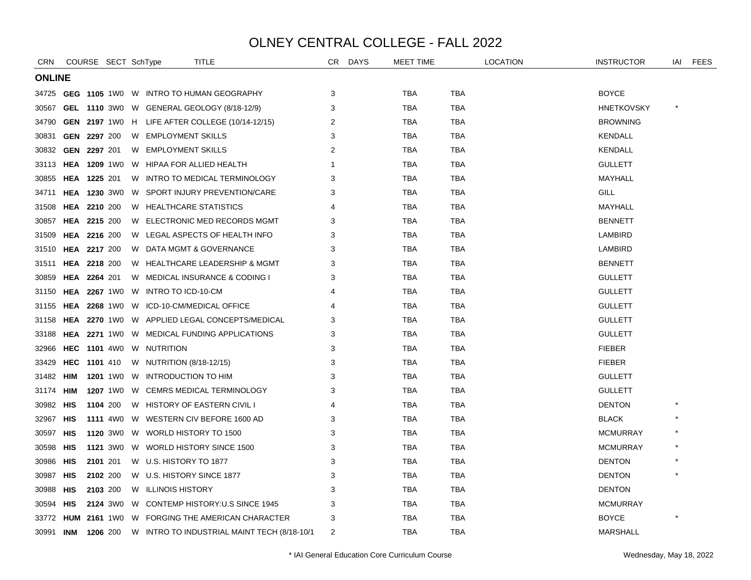| <b>CRN</b>    |            | COURSE SECT SchType | TITLE                                                  | CR             | <b>DAYS</b> | <b>MEET TIME</b> |            | <b>LOCATION</b> | <b>INSTRUCTOR</b> | iai | FEES |
|---------------|------------|---------------------|--------------------------------------------------------|----------------|-------------|------------------|------------|-----------------|-------------------|-----|------|
| <b>ONLINE</b> |            |                     |                                                        |                |             |                  |            |                 |                   |     |      |
| 34725         |            |                     | <b>GEG 1105 1WO W INTRO TO HUMAN GEOGRAPHY</b>         | 3              |             | TBA              | <b>TBA</b> |                 | <b>BOYCE</b>      |     |      |
| 30567         |            |                     | GEL 1110 3W0 W GENERAL GEOLOGY (8/18-12/9)             | 3              |             | TBA              | TBA        |                 | <b>HNETKOVSKY</b> |     |      |
| 34790         |            |                     | <b>GEN 2197</b> 1W0 H LIFE AFTER COLLEGE (10/14-12/15) | 2              |             | TBA              | TBA        |                 | <b>BROWNING</b>   |     |      |
| 30831         |            | GEN 2297 200        | W EMPLOYMENT SKILLS                                    | 3              |             | TBA              | <b>TBA</b> |                 | KENDALL           |     |      |
| 30832         |            | GEN 2297 201        | W EMPLOYMENT SKILLS                                    | 2              |             | TBA              | TBA        |                 | <b>KENDALL</b>    |     |      |
| 33113         |            |                     | <b>HEA 1209 1WO W HIPAA FOR ALLIED HEALTH</b>          | 1              |             | TBA              | TBA        |                 | <b>GULLETT</b>    |     |      |
| 30855         |            | <b>HEA 1225 201</b> | W INTRO TO MEDICAL TERMINOLOGY                         | 3              |             | <b>TBA</b>       | <b>TBA</b> |                 | MAYHALL           |     |      |
| 34711         |            |                     | <b>HEA 1230 3WO W SPORT INJURY PREVENTION/CARE</b>     | 3              |             | TBA              | <b>TBA</b> |                 | GILL              |     |      |
| 31508         |            | <b>HEA 2210 200</b> | W HEALTHCARE STATISTICS                                | 4              |             | TBA              | <b>TBA</b> |                 | MAYHALL           |     |      |
| 30857         |            | HEA 2215 200        | W ELECTRONIC MED RECORDS MGMT                          | 3              |             | TBA              | TBA        |                 | <b>BENNETT</b>    |     |      |
| 31509         |            | HEA 2216 200        | W LEGAL ASPECTS OF HEALTH INFO                         | 3              |             | TBA              | <b>TBA</b> |                 | LAMBIRD           |     |      |
| 31510         |            | <b>HEA 2217 200</b> | W DATA MGMT & GOVERNANCE                               | 3              |             | TBA              | TBA        |                 | LAMBIRD           |     |      |
| 31511         |            | <b>HEA 2218 200</b> | W HEALTHCARE LEADERSHIP & MGMT                         | 3              |             | TBA              | TBA        |                 | <b>BENNETT</b>    |     |      |
| 30859         |            | HEA 2264 201        | W MEDICAL INSURANCE & CODING I                         | 3              |             | <b>TBA</b>       | <b>TBA</b> |                 | <b>GULLETT</b>    |     |      |
| 31150         |            |                     | <b>HEA 2267 1WO W INTRO TO ICD-10-CM</b>               |                |             | TBA              | <b>TBA</b> |                 | <b>GULLETT</b>    |     |      |
| 31155         |            |                     | HEA 2268 1W0 W ICD-10-CM/MEDICAL OFFICE                | 4              |             | TBA              | TBA        |                 | <b>GULLETT</b>    |     |      |
| 31158         |            |                     | <b>HEA 2270 1WO W APPLIED LEGAL CONCEPTS/MEDICAL</b>   | 3              |             | TBA              | TBA        |                 | <b>GULLETT</b>    |     |      |
| 33188         |            |                     | <b>HEA 2271 1WO W MEDICAL FUNDING APPLICATIONS</b>     | 3              |             | <b>TBA</b>       | <b>TBA</b> |                 | <b>GULLETT</b>    |     |      |
| 32966         |            |                     | HEC 1101 4W0 W NUTRITION                               | 3              |             | TBA              | <b>TBA</b> |                 | <b>FIEBER</b>     |     |      |
| 33429         | HEC        | <b>1101</b> 410     | W NUTRITION (8/18-12/15)                               | 3              |             | TBA              | TBA        |                 | <b>FIEBER</b>     |     |      |
| 31482         | HIM        |                     | 1201 1W0 W INTRODUCTION TO HIM                         | 3              |             | TBA              | <b>TBA</b> |                 | <b>GULLETT</b>    |     |      |
| 31174         | HIM        |                     | 1207 1WO W CEMRS MEDICAL TERMINOLOGY                   | 3              |             | TBA              | TBA        |                 | <b>GULLETT</b>    |     |      |
| 30982         | HIS        | 1104 200            | W HISTORY OF EASTERN CIVIL I                           | 4              |             | TBA              | TBA        |                 | <b>DENTON</b>     |     |      |
| 32967         | HIS        |                     | 1111 4W0 W WESTERN CIV BEFORE 1600 AD                  | 3              |             | TBA              | TBA        |                 | <b>BLACK</b>      |     |      |
| 30597         | <b>HIS</b> |                     | 1120 3W0 W WORLD HISTORY TO 1500                       | 3              |             | TBA              | <b>TBA</b> |                 | <b>MCMURRAY</b>   |     |      |
| 30598         | HIS        |                     | 1121 3W0 W WORLD HISTORY SINCE 1500                    | 3              |             | TBA              | TBA        |                 | <b>MCMURRAY</b>   |     |      |
| 30986         | HIS        | 2101 201            | W U.S. HISTORY TO 1877                                 | 3              |             | TBA              | TBA        |                 | <b>DENTON</b>     |     |      |
| 30987 HIS     |            | 2102 200            | W U.S. HISTORY SINCE 1877                              | 3              |             | <b>TBA</b>       | <b>TBA</b> |                 | <b>DENTON</b>     |     |      |
| 30988         | HIS        | 2103 200            | W ILLINOIS HISTORY                                     | 3              |             | TBA              | <b>TBA</b> |                 | <b>DENTON</b>     |     |      |
| 30594         | HIS        |                     | 2124 3W0 W CONTEMP HISTORY:U.S SINCE 1945              | 3              |             | TBA              | TBA        |                 | <b>MCMURRAY</b>   |     |      |
| 33772         |            |                     | <b>HUM 2161 1W0 W FORGING THE AMERICAN CHARACTER</b>   | 3              |             | TBA              | TBA        |                 | <b>BOYCE</b>      |     |      |
| 30991         | INM        | 1206 200            | W INTRO TO INDUSTRIAL MAINT TECH (8/18-10/1            | $\overline{2}$ |             | <b>TBA</b>       | <b>TBA</b> |                 | <b>MARSHALL</b>   |     |      |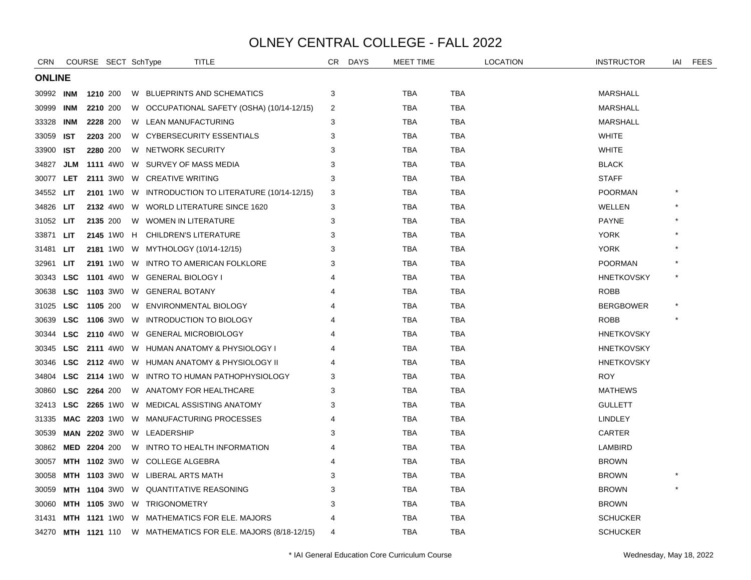| CRN              |            | COURSE SECT SchType | TITLE                                                         | CR | <b>DAYS</b> | <b>MEET TIME</b> |            | <b>LOCATION</b> | <b>INSTRUCTOR</b> | iai | <b>FEES</b> |
|------------------|------------|---------------------|---------------------------------------------------------------|----|-------------|------------------|------------|-----------------|-------------------|-----|-------------|
| <b>ONLINE</b>    |            |                     |                                                               |    |             |                  |            |                 |                   |     |             |
| 30992 INM        |            | 1210 200            | W BLUEPRINTS AND SCHEMATICS                                   | 3  |             | <b>TBA</b>       | <b>TBA</b> |                 | <b>MARSHALL</b>   |     |             |
| 30999            | INM        | 2210 200            | W OCCUPATIONAL SAFETY (OSHA) (10/14-12/15)                    | 2  |             | <b>TBA</b>       | <b>TBA</b> |                 | MARSHALL          |     |             |
| 33328            | INM        | 2228 200            | W LEAN MANUFACTURING                                          | 3  |             | TBA              | <b>TBA</b> |                 | MARSHALL          |     |             |
| 33059            | IST.       | 2203 200            | W CYBERSECURITY ESSENTIALS                                    | 3  |             | <b>TBA</b>       | <b>TBA</b> |                 | <b>WHITE</b>      |     |             |
| 33900            | <b>IST</b> | 2280 200            | W NETWORK SECURITY                                            | 3  |             | <b>TBA</b>       | <b>TBA</b> |                 | <b>WHITE</b>      |     |             |
| 34827            | JLM        | <b>1111</b> 4W0     | W SURVEY OF MASS MEDIA                                        | 3  |             | <b>TBA</b>       | TBA        |                 | <b>BLACK</b>      |     |             |
| 30077            | <b>LET</b> |                     | 2111 3W0 W CREATIVE WRITING                                   | 3  |             | <b>TBA</b>       | <b>TBA</b> |                 | <b>STAFF</b>      |     |             |
| 34552 <b>LIT</b> |            |                     | 2101 1WO W INTRODUCTION TO LITERATURE (10/14-12/15)           | 3  |             | <b>TBA</b>       | <b>TBA</b> |                 | <b>POORMAN</b>    |     |             |
| 34826 LIT        |            |                     | 2132 4W0 W WORLD LITERATURE SINCE 1620                        | 3  |             | <b>TBA</b>       | <b>TBA</b> |                 | WELLEN            |     |             |
| 31052 LIT        |            | 2135 200            | W WOMEN IN LITERATURE                                         | 3  |             | TBA              | TBA        |                 | <b>PAYNE</b>      |     |             |
| 33871            | <b>LIT</b> |                     | 2145 1WO H CHILDREN'S LITERATURE                              | 3  |             | <b>TBA</b>       | <b>TBA</b> |                 | <b>YORK</b>       |     |             |
| 31481            | <b>LIT</b> |                     | 2181 1W0 W MYTHOLOGY (10/14-12/15)                            | 3  |             | TBA              | TBA        |                 | <b>YORK</b>       |     |             |
| 32961 LIT        |            |                     | 2191 1W0 W INTRO TO AMERICAN FOLKLORE                         | 3  |             | TBA              | <b>TBA</b> |                 | <b>POORMAN</b>    |     |             |
| 30343 LSC        |            |                     | 1101 4W0 W GENERAL BIOLOGY I                                  |    |             | <b>TBA</b>       | <b>TBA</b> |                 | <b>HNETKOVSKY</b> |     |             |
| 30638            | <b>LSC</b> |                     | 1103 3W0 W GENERAL BOTANY                                     |    |             | <b>TBA</b>       | <b>TBA</b> |                 | <b>ROBB</b>       |     |             |
| 31025            | <b>LSC</b> | 1105 200            | W ENVIRONMENTAL BIOLOGY                                       | 4  |             | TBA              | TBA        |                 | <b>BERGBOWER</b>  |     |             |
| 30639            | LSC        |                     | 1106 3WO W INTRODUCTION TO BIOLOGY                            |    |             | TBA              | TBA        |                 | <b>ROBB</b>       |     |             |
| 30344            | <b>LSC</b> |                     | 2110 4W0 W GENERAL MICROBIOLOGY                               |    |             | <b>TBA</b>       | <b>TBA</b> |                 | <b>HNETKOVSKY</b> |     |             |
| 30345            | <b>LSC</b> |                     | 2111 4W0 W HUMAN ANATOMY & PHYSIOLOGY I                       |    |             | <b>TBA</b>       | TBA        |                 | <b>HNETKOVSKY</b> |     |             |
| 30346            |            |                     | <b>LSC</b> 2112 4W0 W HUMAN ANATOMY & PHYSIOLOGY II           |    |             | <b>TBA</b>       | <b>TBA</b> |                 | <b>HNETKOVSKY</b> |     |             |
| 34804            | LSC        |                     | 2114 1W0 W INTRO TO HUMAN PATHOPHYSIOLOGY                     | 3  |             | <b>TBA</b>       | TBA        |                 | <b>ROY</b>        |     |             |
| 30860            | <b>LSC</b> | 2264 200            | W ANATOMY FOR HEALTHCARE                                      | 3  |             | TBA              | TBA        |                 | <b>MATHEWS</b>    |     |             |
| 32413            | LSC        |                     | <b>2265</b> 1W0 W MEDICAL ASSISTING ANATOMY                   | 3  |             | <b>TBA</b>       | <b>TBA</b> |                 | <b>GULLETT</b>    |     |             |
| 31335            |            |                     | MAC 2203 1W0 W MANUFACTURING PROCESSES                        | 4  |             | TBA              | <b>TBA</b> |                 | LINDLEY           |     |             |
| 30539            |            |                     | MAN 2202 3W0 W LEADERSHIP                                     | 3  |             | <b>TBA</b>       | <b>TBA</b> |                 | CARTER            |     |             |
| 30862            |            | MED 2204 200        | W INTRO TO HEALTH INFORMATION                                 |    |             | <b>TBA</b>       | TBA        |                 | <b>LAMBIRD</b>    |     |             |
| 30057            |            |                     | MTH 1102 3W0 W COLLEGE ALGEBRA                                |    |             | <b>TBA</b>       | <b>TBA</b> |                 | <b>BROWN</b>      |     |             |
| 30058            |            |                     | <b>MTH 1103</b> 3W0 W LIBERAL ARTS MATH                       | 3  |             | <b>TBA</b>       | <b>TBA</b> |                 | <b>BROWN</b>      |     |             |
| 30059            |            |                     | <b>MTH 1104 3WO W QUANTITATIVE REASONING</b>                  | 3  |             | <b>TBA</b>       | TBA        |                 | <b>BROWN</b>      |     |             |
| 30060            |            |                     | MTH 1105 3W0 W TRIGONOMETRY                                   | 3  |             | <b>TBA</b>       | <b>TBA</b> |                 | <b>BROWN</b>      |     |             |
| 31431            |            |                     | <b>MTH 1121 1WO W MATHEMATICS FOR ELE. MAJORS</b>             |    |             | <b>TBA</b>       | TBA        |                 | <b>SCHUCKER</b>   |     |             |
|                  |            |                     | 34270 MTH 1121 110 W MATHEMATICS FOR ELE. MAJORS (8/18-12/15) | 4  |             | <b>TBA</b>       | <b>TBA</b> |                 | <b>SCHUCKER</b>   |     |             |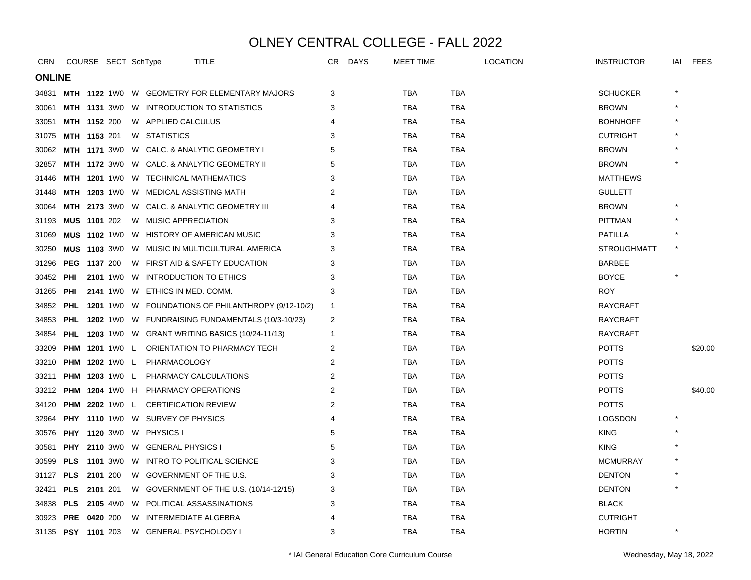| CRN           |            | COURSE SECT SchType   |   | <b>TITLE</b>                                             |                                                     | CR.            | <b>DAYS</b> | <b>MEET TIME</b> |            | <b>LOCATION</b> | <b>INSTRUCTOR</b>  | IAI | <b>FEES</b> |
|---------------|------------|-----------------------|---|----------------------------------------------------------|-----------------------------------------------------|----------------|-------------|------------------|------------|-----------------|--------------------|-----|-------------|
| <b>ONLINE</b> |            |                       |   |                                                          |                                                     |                |             |                  |            |                 |                    |     |             |
|               |            |                       |   |                                                          | 34831 MTH 1122 1W0 W GEOMETRY FOR ELEMENTARY MAJORS | 3              |             | TBA              | TBA        |                 | <b>SCHUCKER</b>    |     |             |
| 30061         |            |                       |   | <b>MTH 1131 3WO W INTRODUCTION TO STATISTICS</b>         |                                                     | 3              |             | <b>TBA</b>       | <b>TBA</b> |                 | <b>BROWN</b>       |     |             |
| 33051         |            | <b>MTH 1152 200</b>   |   | W APPLIED CALCULUS                                       |                                                     |                |             | <b>TBA</b>       | <b>TBA</b> |                 | <b>BOHNHOFF</b>    |     |             |
| 31075         |            | <b>MTH 1153 201</b>   |   | W STATISTICS                                             |                                                     | 3              |             | TBA              | TBA        |                 | <b>CUTRIGHT</b>    |     |             |
| 30062         |            |                       |   | MTH 1171 3W0 W CALC. & ANALYTIC GEOMETRY I               |                                                     | 5              |             | <b>TBA</b>       | <b>TBA</b> |                 | <b>BROWN</b>       |     |             |
| 32857         |            |                       |   | <b>MTH 1172 3WO W CALC. &amp; ANALYTIC GEOMETRY II</b>   |                                                     | 5              |             | <b>TBA</b>       | <b>TBA</b> |                 | <b>BROWN</b>       |     |             |
| 31446         |            |                       |   | MTH 1201 1W0 W TECHNICAL MATHEMATICS                     |                                                     | 3              |             | <b>TBA</b>       | <b>TBA</b> |                 | <b>MATTHEWS</b>    |     |             |
| 31448         |            |                       |   | <b>MTH 1203 1WO W MEDICAL ASSISTING MATH</b>             |                                                     | 2              |             | <b>TBA</b>       | <b>TBA</b> |                 | <b>GULLETT</b>     |     |             |
| 30064         |            |                       |   | <b>MTH 2173</b> 3W0 W CALC. & ANALYTIC GEOMETRY III      |                                                     |                |             | TBA              | TBA        |                 | <b>BROWN</b>       |     |             |
| 31193         |            | MUS 1101 202          |   | W MUSIC APPRECIATION                                     |                                                     | 3              |             | <b>TBA</b>       | <b>TBA</b> |                 | <b>PITTMAN</b>     |     |             |
| 31069         |            |                       |   | <b>MUS 1102 1WO W HISTORY OF AMERICAN MUSIC</b>          |                                                     | 3              |             | <b>TBA</b>       | <b>TBA</b> |                 | <b>PATILLA</b>     |     |             |
| 30250         |            |                       |   | <b>MUS</b> 1103 3W0 W MUSIC IN MULTICULTURAL AMERICA     |                                                     | 3              |             | TBA              | TBA        |                 | <b>STROUGHMATT</b> |     |             |
| 31296         |            | <b>PEG 1137 200</b>   |   | W FIRST AID & SAFETY EDUCATION                           |                                                     | 3              |             | TBA              | <b>TBA</b> |                 | <b>BARBEE</b>      |     |             |
| 30452         | PHI        |                       |   | 2101 1WO W INTRODUCTION TO ETHICS                        |                                                     | 3              |             | TBA              | TBA        |                 | <b>BOYCE</b>       |     |             |
| 31265         | PHI        |                       |   | 2141 1W0 W ETHICS IN MED. COMM.                          |                                                     | 3              |             | <b>TBA</b>       | <b>TBA</b> |                 | <b>ROY</b>         |     |             |
| 34852         | <b>PHL</b> |                       |   |                                                          | 1201 1W0 W FOUNDATIONS OF PHILANTHROPY (9/12-10/2)  | $\overline{1}$ |             | <b>TBA</b>       | <b>TBA</b> |                 | <b>RAYCRAFT</b>    |     |             |
| 34853         | PHL        |                       |   |                                                          | 1202 1W0 W FUNDRAISING FUNDAMENTALS (10/3-10/23)    | 2              |             | TBA              | TBA        |                 | <b>RAYCRAFT</b>    |     |             |
| 34854         |            |                       |   | <b>PHL 1203</b> 1W0 W GRANT WRITING BASICS (10/24-11/13) |                                                     | -1             |             | <b>TBA</b>       | <b>TBA</b> |                 | <b>RAYCRAFT</b>    |     |             |
| 33209         |            |                       |   | PHM 1201 1W0 L ORIENTATION TO PHARMACY TECH              |                                                     | 2              |             | TBA              | TBA        |                 | <b>POTTS</b>       |     | \$20.00     |
| 33210         |            | PHM 1202 1W0 L        |   | PHARMACOLOGY                                             |                                                     | $\overline{2}$ |             | <b>TBA</b>       | <b>TBA</b> |                 | <b>POTTS</b>       |     |             |
| 33211         |            | <b>PHM 1203 1W0 L</b> |   | PHARMACY CALCULATIONS                                    |                                                     | 2              |             | <b>TBA</b>       | <b>TBA</b> |                 | <b>POTTS</b>       |     |             |
| 33212         |            |                       |   | <b>PHM 1204 1WO H PHARMACY OPERATIONS</b>                |                                                     | 2              |             | TBA              | TBA        |                 | <b>POTTS</b>       |     | \$40.00     |
| 34120         |            |                       |   | <b>PHM 2202 1WO L CERTIFICATION REVIEW</b>               |                                                     | 2              |             | <b>TBA</b>       | <b>TBA</b> |                 | <b>POTTS</b>       |     |             |
| 32964         |            |                       |   | <b>PHY 1110 1WO W SURVEY OF PHYSICS</b>                  |                                                     | 4              |             | TBA              | TBA        |                 | <b>LOGSDON</b>     |     |             |
| 30576         |            |                       |   | PHY 1120 3W0 W PHYSICS I                                 |                                                     | 5              |             | <b>TBA</b>       | <b>TBA</b> |                 | <b>KING</b>        |     |             |
| 30581         | <b>PHY</b> |                       |   | 2110 3WO W GENERAL PHYSICS I                             |                                                     | 5              |             | <b>TBA</b>       | <b>TBA</b> |                 | <b>KING</b>        |     |             |
| 30599         | <b>PLS</b> |                       |   | 1101 3W0 W INTRO TO POLITICAL SCIENCE                    |                                                     | 3              |             | TBA              | TBA        |                 | <b>MCMURRAY</b>    |     |             |
| 31127         |            | <b>PLS 2101 200</b>   |   | W GOVERNMENT OF THE U.S.                                 |                                                     | 3              |             | <b>TBA</b>       | <b>TBA</b> |                 | <b>DENTON</b>      |     |             |
| 32421         |            | <b>PLS</b> 2101 201   |   |                                                          | W GOVERNMENT OF THE U.S. (10/14-12/15)              | 3              |             | TBA              | TBA        |                 | <b>DENTON</b>      |     |             |
| 34838         |            | <b>PLS</b> 2105 4W0   |   | W POLITICAL ASSASSINATIONS                               |                                                     | 3              |             | TBA              | TBA        |                 | <b>BLACK</b>       |     |             |
| 30923         | <b>PRE</b> | 0420 200              | W | INTERMEDIATE ALGEBRA                                     |                                                     |                |             | <b>TBA</b>       | <b>TBA</b> |                 | <b>CUTRIGHT</b>    |     |             |
|               |            | 31135 PSY 1101 203    |   | W GENERAL PSYCHOLOGY I                                   |                                                     | 3              |             | <b>TBA</b>       | <b>TBA</b> |                 | <b>HORTIN</b>      |     |             |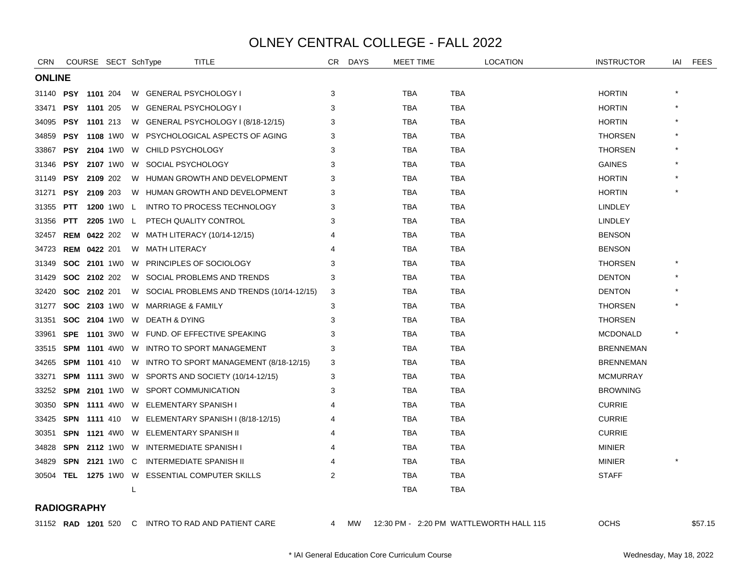| CRN                       |                     |                     | COURSE SECT SchType |    | TITLE                                                   | CR | DAYS      | <b>MEET TIME</b> | <b>LOCATION</b>                         | <b>INSTRUCTOR</b> | IAI | FEES    |  |  |
|---------------------------|---------------------|---------------------|---------------------|----|---------------------------------------------------------|----|-----------|------------------|-----------------------------------------|-------------------|-----|---------|--|--|
|                           | <b>ONLINE</b>       |                     |                     |    |                                                         |    |           |                  |                                         |                   |     |         |  |  |
| 31140 <b>PSY 1101</b> 204 |                     |                     |                     |    | W GENERAL PSYCHOLOGY I                                  | 3  |           | TBA              | TBA                                     | <b>HORTIN</b>     |     |         |  |  |
| 33471                     |                     | PSY 1101 205        |                     |    | W GENERAL PSYCHOLOGY I                                  | 3  |           | <b>TBA</b>       | <b>TBA</b>                              | <b>HORTIN</b>     |     |         |  |  |
| 34095                     | <b>PSY 1101</b> 213 |                     |                     |    | W GENERAL PSYCHOLOGY I (8/18-12/15)                     | 3  |           | TBA              | TBA                                     | <b>HORTIN</b>     |     |         |  |  |
| 34859                     |                     | <b>PSY 1108 1W0</b> |                     |    | W PSYCHOLOGICAL ASPECTS OF AGING                        | 3  |           | TBA              | TBA                                     | <b>THORSEN</b>    |     |         |  |  |
| 33867                     |                     | <b>PSY 2104 1W0</b> |                     | W. | CHILD PSYCHOLOGY                                        | 3  |           | <b>TBA</b>       | <b>TBA</b>                              | <b>THORSEN</b>    |     |         |  |  |
| 31346                     |                     |                     |                     |    | PSY 2107 1W0 W SOCIAL PSYCHOLOGY                        | 3  |           | TBA              | TBA                                     | <b>GAINES</b>     |     |         |  |  |
| 31149                     |                     | <b>PSY 2109 202</b> |                     |    | W HUMAN GROWTH AND DEVELOPMENT                          | 3  |           | <b>TBA</b>       | <b>TBA</b>                              | <b>HORTIN</b>     |     |         |  |  |
| 31271                     |                     | <b>PSY 2109 203</b> |                     |    | W HUMAN GROWTH AND DEVELOPMENT                          | 3  |           | TBA              | TBA                                     | <b>HORTIN</b>     |     |         |  |  |
| 31355                     | <b>PTT</b>          |                     | 1200 1W0 L          |    | INTRO TO PROCESS TECHNOLOGY                             | 3  |           | TBA              | TBA                                     | <b>LINDLEY</b>    |     |         |  |  |
| 31356                     | <b>PTT</b>          |                     | 2205 1W0 L          |    | PTECH QUALITY CONTROL                                   | 3  |           | TBA              | TBA                                     | <b>LINDLEY</b>    |     |         |  |  |
| 32457                     |                     | <b>REM 0422 202</b> |                     |    | W MATH LITERACY (10/14-12/15)                           |    |           | <b>TBA</b>       | <b>TBA</b>                              | <b>BENSON</b>     |     |         |  |  |
| 34723                     |                     | <b>REM 0422 201</b> |                     |    | W MATH LITERACY                                         |    |           | <b>TBA</b>       | <b>TBA</b>                              | <b>BENSON</b>     |     |         |  |  |
| 31349                     |                     | <b>SOC 2101 1W0</b> |                     |    | W PRINCIPLES OF SOCIOLOGY                               | 3  |           | TBA              | TBA                                     | <b>THORSEN</b>    |     |         |  |  |
| 31429                     |                     | <b>SOC 2102 202</b> |                     |    | W SOCIAL PROBLEMS AND TRENDS                            | 3  |           | <b>TBA</b>       | <b>TBA</b>                              | <b>DENTON</b>     |     |         |  |  |
| 32420                     | <b>SOC 2102 201</b> |                     |                     |    | W SOCIAL PROBLEMS AND TRENDS (10/14-12/15)              | 3  |           | TBA              | TBA                                     | <b>DENTON</b>     |     |         |  |  |
| 31277                     |                     |                     |                     |    | SOC 2103 1W0 W MARRIAGE & FAMILY                        | 3  |           | TBA              | <b>TBA</b>                              | <b>THORSEN</b>    |     |         |  |  |
| 31351                     |                     |                     |                     |    | SOC 2104 1W0 W DEATH & DYING                            | 3  |           | TBA              | TBA                                     | <b>THORSEN</b>    |     |         |  |  |
| 33961                     | <b>SPE</b>          |                     |                     |    | 1101 3W0 W FUND. OF EFFECTIVE SPEAKING                  | 3  |           | TBA              | TBA                                     | <b>MCDONALD</b>   |     |         |  |  |
| 33515                     |                     |                     |                     |    | <b>SPM 1101 4W0 W INTRO TO SPORT MANAGEMENT</b>         | 3  |           | <b>TBA</b>       | <b>TBA</b>                              | <b>BRENNEMAN</b>  |     |         |  |  |
| 34265                     |                     | SPM 1101 410        |                     |    | W INTRO TO SPORT MANAGEMENT (8/18-12/15)                | 3  |           | TBA              | TBA                                     | <b>BRENNEMAN</b>  |     |         |  |  |
| 33271                     |                     |                     |                     |    | <b>SPM 1111 3W0 W SPORTS AND SOCIETY (10/14-12/15)</b>  | 3  |           | <b>TBA</b>       | <b>TBA</b>                              | <b>MCMURRAY</b>   |     |         |  |  |
| 33252                     |                     |                     |                     |    | <b>SPM 2101 1WO W SPORT COMMUNICATION</b>               | 3  |           | TBA              | TBA                                     | <b>BROWNING</b>   |     |         |  |  |
| 30350                     |                     |                     |                     |    | <b>SPN 1111 4WO W ELEMENTARY SPANISH I</b>              |    |           | TBA              | TBA                                     | <b>CURRIE</b>     |     |         |  |  |
| 33425                     |                     |                     |                     |    | <b>SPN 1111</b> 410 W ELEMENTARY SPANISH I (8/18-12/15) |    |           | TBA              | TBA                                     | <b>CURRIE</b>     |     |         |  |  |
| 30351                     |                     |                     |                     |    | SPN 1121 4W0 W ELEMENTARY SPANISH II                    |    |           | <b>TBA</b>       | <b>TBA</b>                              | <b>CURRIE</b>     |     |         |  |  |
| 34828                     |                     |                     |                     |    | <b>SPN 2112 1WO W INTERMEDIATE SPANISH I</b>            |    |           | <b>TBA</b>       | <b>TBA</b>                              | <b>MINIER</b>     |     |         |  |  |
| 34829                     |                     |                     |                     |    | <b>SPN 2121 1WO C INTERMEDIATE SPANISH II</b>           |    |           | TBA              | TBA                                     | <b>MINIER</b>     |     |         |  |  |
|                           |                     |                     |                     |    | 30504 TEL 1275 1W0 W ESSENTIAL COMPUTER SKILLS          | 2  |           | <b>TBA</b>       | <b>TBA</b>                              | <b>STAFF</b>      |     |         |  |  |
|                           |                     |                     |                     | L  |                                                         |    |           | TBA              | TBA                                     |                   |     |         |  |  |
| <b>RADIOGRAPHY</b>        |                     |                     |                     |    |                                                         |    |           |                  |                                         |                   |     |         |  |  |
|                           |                     |                     |                     |    | 31152 RAD 1201 520 C INTRO TO RAD AND PATIENT CARE      | 4  | <b>MW</b> |                  | 12:30 PM - 2:20 PM WATTLEWORTH HALL 115 | <b>OCHS</b>       |     | \$57.15 |  |  |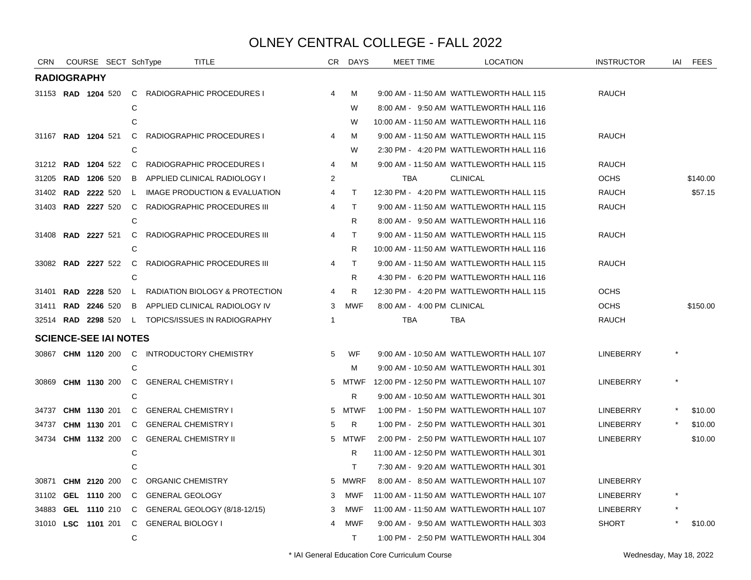| CRN   | COURSE SECT SchType          |              | <b>TITLE</b>                                |                | CR DAYS      | MEET TIME                  | <b>LOCATION</b>                          | <b>INSTRUCTOR</b> | IAI | <b>FEES</b> |
|-------|------------------------------|--------------|---------------------------------------------|----------------|--------------|----------------------------|------------------------------------------|-------------------|-----|-------------|
|       | <b>RADIOGRAPHY</b>           |              |                                             |                |              |                            |                                          |                   |     |             |
|       | 31153 <b>RAD 1204</b> 520    |              | C RADIOGRAPHIC PROCEDURES I                 | 4              | М            |                            | 9:00 AM - 11:50 AM WATTLEWORTH HALL 115  | RAUCH             |     |             |
|       |                              | С            |                                             |                | W            |                            | 8:00 AM - 9:50 AM WATTLEWORTH HALL 116   |                   |     |             |
|       |                              | C            |                                             |                | W            |                            | 10:00 AM - 11:50 AM WATTLEWORTH HALL 116 |                   |     |             |
|       | 31167 RAD 1204 521           | $\mathsf{C}$ | RADIOGRAPHIC PROCEDURES I                   | 4              | м            |                            | 9:00 AM - 11:50 AM WATTLEWORTH HALL 115  | <b>RAUCH</b>      |     |             |
|       |                              | C            |                                             |                | W            |                            | 2:30 PM - 4:20 PM WATTLEWORTH HALL 116   |                   |     |             |
|       | 31212 RAD 1204 522           | C            | RADIOGRAPHIC PROCEDURES I                   | 4              | M            |                            | 9:00 AM - 11:50 AM WATTLEWORTH HALL 115  | <b>RAUCH</b>      |     |             |
| 31205 | <b>RAD 1206 520</b>          | B            | APPLIED CLINICAL RADIOLOGY I                | 2              |              | <b>TBA</b>                 | <b>CLINICAL</b>                          | <b>OCHS</b>       |     | \$140.00    |
|       | 31402 <b>RAD 2222</b> 520    | L.           | IMAGE PRODUCTION & EVALUATION               | 4              | T            |                            | 12:30 PM - 4:20 PM WATTLEWORTH HALL 115  | <b>RAUCH</b>      |     | \$57.15     |
|       | 31403 <b>RAD 2227</b> 520    | C            | RADIOGRAPHIC PROCEDURES III                 | 4              | $\mathsf{T}$ |                            | 9:00 AM - 11:50 AM WATTLEWORTH HALL 115  | <b>RAUCH</b>      |     |             |
|       |                              | C            |                                             |                | R            |                            | 8:00 AM - 9:50 AM WATTLEWORTH HALL 116   |                   |     |             |
|       | 31408 RAD 2227 521           | C            | RADIOGRAPHIC PROCEDURES III                 | 4              | $\top$       |                            | 9:00 AM - 11:50 AM WATTLEWORTH HALL 115  | <b>RAUCH</b>      |     |             |
|       |                              | С            |                                             |                | R            |                            | 10:00 AM - 11:50 AM WATTLEWORTH HALL 116 |                   |     |             |
|       | 33082 <b>RAD 2227</b> 522    | $\mathbf{C}$ | RADIOGRAPHIC PROCEDURES III                 | 4              | $\mathsf{T}$ |                            | 9:00 AM - 11:50 AM WATTLEWORTH HALL 115  | <b>RAUCH</b>      |     |             |
|       |                              | C            |                                             |                | R            |                            | 4:30 PM - 6:20 PM WATTLEWORTH HALL 116   |                   |     |             |
| 31401 | <b>RAD 2228 520</b>          | $\mathsf{L}$ | RADIATION BIOLOGY & PROTECTION              | 4              | R            |                            | 12:30 PM - 4:20 PM WATTLEWORTH HALL 115  | <b>OCHS</b>       |     |             |
|       | 31411 RAD 2246 520           |              | B APPLIED CLINICAL RADIOLOGY IV             | 3              | <b>MWF</b>   | 8:00 AM - 4:00 PM CLINICAL |                                          | <b>OCHS</b>       |     | \$150.00    |
|       | 32514 RAD 2298 520           |              | L TOPICS/ISSUES IN RADIOGRAPHY              | $\overline{1}$ |              | <b>TBA</b>                 | <b>TBA</b>                               | <b>RAUCH</b>      |     |             |
|       | <b>SCIENCE-SEE IAI NOTES</b> |              |                                             |                |              |                            |                                          |                   |     |             |
|       |                              |              | 30867 CHM 1120 200 C INTRODUCTORY CHEMISTRY | 5              | WF           |                            | 9:00 AM - 10:50 AM WATTLEWORTH HALL 107  | <b>LINEBERRY</b>  |     |             |
|       |                              | C            |                                             |                | м            |                            | 9:00 AM - 10:50 AM WATTLEWORTH HALL 301  |                   |     |             |
|       | 30869 CHM 1130 200           |              | C GENERAL CHEMISTRY I                       |                | 5 MTWF       |                            | 12:00 PM - 12:50 PM WATTLEWORTH HALL 107 | <b>LINEBERRY</b>  |     |             |
|       |                              | C            |                                             |                | R            |                            | 9:00 AM - 10:50 AM WATTLEWORTH HALL 301  |                   |     |             |
| 34737 | CHM 1130 201                 | C            | <b>GENERAL CHEMISTRY I</b>                  |                | 5 MTWF       |                            | 1:00 PM - 1:50 PM WATTLEWORTH HALL 107   | <b>LINEBERRY</b>  |     | \$10.00     |
| 34737 | CHM 1130 201                 | C.           | <b>GENERAL CHEMISTRY I</b>                  | 5              | R            |                            | 1:00 PM - 2:50 PM WATTLEWORTH HALL 301   | LINEBERRY         |     | \$10.00     |
|       | 34734 CHM 1132 200           | C.           | <b>GENERAL CHEMISTRY II</b>                 |                | 5 MTWF       |                            | 2:00 PM - 2:50 PM WATTLEWORTH HALL 107   | LINEBERRY         |     | \$10.00     |
|       |                              | С            |                                             |                | R            |                            | 11:00 AM - 12:50 PM WATTLEWORTH HALL 301 |                   |     |             |
|       |                              |              |                                             |                | $\mathsf{T}$ |                            | 7:30 AM - 9:20 AM WATTLEWORTH HALL 301   |                   |     |             |
| 30871 | CHM 2120 200                 | C.           | ORGANIC CHEMISTRY                           |                | 5 MWRF       |                            | 8:00 AM - 8:50 AM WATTLEWORTH HALL 107   | <b>LINEBERRY</b>  |     |             |
| 31102 | GEL 1110 200                 | C.           | <b>GENERAL GEOLOGY</b>                      | 3              | MWF          |                            | 11:00 AM - 11:50 AM WATTLEWORTH HALL 107 | <b>LINEBERRY</b>  |     |             |
| 34883 | GEL 1110 210                 |              | C GENERAL GEOLOGY (8/18-12/15)              | 3              | MWF          |                            | 11:00 AM - 11:50 AM WATTLEWORTH HALL 107 | <b>LINEBERRY</b>  |     |             |
|       | 31010 LSC 1101 201           |              | C GENERAL BIOLOGY I                         |                | MWF          |                            | 9:00 AM - 9:50 AM WATTLEWORTH HALL 303   | <b>SHORT</b>      |     | \$10.00     |
|       |                              | C            |                                             |                | $\top$       |                            | 1:00 PM - 2:50 PM WATTLEWORTH HALL 304   |                   |     |             |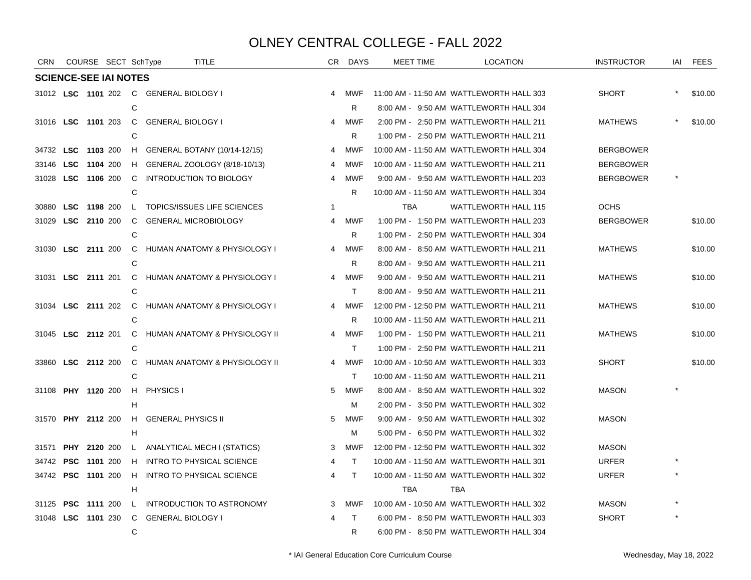| <b>CRN</b> | COURSE SECT SchType          |                |                                        | <b>TITLE</b>                            |                | CR DAYS    | <b>MEET TIME</b> | <b>LOCATION</b>                          | <b>INSTRUCTOR</b> | IAI | <b>FEES</b> |
|------------|------------------------------|----------------|----------------------------------------|-----------------------------------------|----------------|------------|------------------|------------------------------------------|-------------------|-----|-------------|
|            | <b>SCIENCE-SEE IAI NOTES</b> |                |                                        |                                         |                |            |                  |                                          |                   |     |             |
|            |                              |                | 31012 LSC 1101 202 C GENERAL BIOLOGY I |                                         | 4              | MWF        |                  | 11:00 AM - 11:50 AM WATTLEWORTH HALL 303 | <b>SHORT</b>      |     | \$10.00     |
|            |                              | C              |                                        |                                         |                | R          |                  | 8:00 AM - 9:50 AM WATTLEWORTH HALL 304   |                   |     |             |
|            |                              |                | 31016 LSC 1101 203 C GENERAL BIOLOGY I |                                         | 4              | MWF        |                  | 2:00 PM - 2:50 PM WATTLEWORTH HALL 211   | <b>MATHEWS</b>    |     | \$10.00     |
|            |                              | C              |                                        |                                         |                | R.         |                  | 1:00 PM - 2:50 PM WATTLEWORTH HALL 211   |                   |     |             |
|            | 34732 LSC 1103 200           | H              |                                        | GENERAL BOTANY (10/14-12/15)            | 4              | MWF        |                  | 10:00 AM - 11:50 AM WATTLEWORTH HALL 304 | <b>BERGBOWER</b>  |     |             |
|            | 33146 LSC 1104 200           | H              |                                        | GENERAL ZOOLOGY (8/18-10/13)            | 4              | <b>MWF</b> |                  | 10:00 AM - 11:50 AM WATTLEWORTH HALL 211 | <b>BERGBOWER</b>  |     |             |
|            | 31028 LSC 1106 200           | C              |                                        | INTRODUCTION TO BIOLOGY                 | 4              | MWF        |                  | 9:00 AM - 9:50 AM WATTLEWORTH HALL 203   | <b>BERGBOWER</b>  |     |             |
|            |                              | C              |                                        |                                         |                | R.         |                  | 10:00 AM - 11:50 AM WATTLEWORTH HALL 304 |                   |     |             |
|            | 30880 LSC 1198 200           |                |                                        | L TOPICS/ISSUES LIFE SCIENCES           | $\mathbf 1$    |            | <b>TBA</b>       | <b>WATTLEWORTH HALL 115</b>              | <b>OCHS</b>       |     |             |
| 31029      | LSC 2110 200                 | $\mathsf{C}$   |                                        | <b>GENERAL MICROBIOLOGY</b>             | 4              | <b>MWF</b> |                  | 1:00 PM - 1:50 PM WATTLEWORTH HALL 203   | <b>BERGBOWER</b>  |     | \$10.00     |
|            |                              | C              |                                        |                                         |                | R          |                  | 1:00 PM - 2:50 PM WATTLEWORTH HALL 304   |                   |     |             |
|            | 31030 LSC 2111 200           |                |                                        | C HUMAN ANATOMY & PHYSIOLOGY I          | 4              | <b>MWF</b> |                  | 8:00 AM - 8:50 AM WATTLEWORTH HALL 211   | <b>MATHEWS</b>    |     | \$10.00     |
|            |                              | C              |                                        |                                         |                | R          |                  | 8:00 AM - 9:50 AM WATTLEWORTH HALL 211   |                   |     |             |
|            | 31031 LSC 2111 201           |                |                                        | C HUMAN ANATOMY & PHYSIOLOGY I          | $\overline{4}$ | MWF        |                  | 9:00 AM - 9:50 AM WATTLEWORTH HALL 211   | <b>MATHEWS</b>    |     | \$10.00     |
|            |                              | C              |                                        |                                         |                | T.         |                  | 8:00 AM - 9:50 AM WATTLEWORTH HALL 211   |                   |     |             |
|            | 31034 LSC 2111 202           | $\overline{C}$ |                                        | <b>HUMAN ANATOMY &amp; PHYSIOLOGY I</b> | 4              | MWF        |                  | 12:00 PM - 12:50 PM WATTLEWORTH HALL 211 | <b>MATHEWS</b>    |     | \$10.00     |
|            |                              | C              |                                        |                                         |                | R          |                  | 10:00 AM - 11:50 AM WATTLEWORTH HALL 211 |                   |     |             |
|            | 31045 LSC 2112 201           | C.             |                                        | HUMAN ANATOMY & PHYSIOLOGY II           | 4              | <b>MWF</b> |                  | 1:00 PM - 1:50 PM WATTLEWORTH HALL 211   | <b>MATHEWS</b>    |     | \$10.00     |
|            |                              | C              |                                        |                                         |                | T.         |                  | 1:00 PM - 2:50 PM WATTLEWORTH HALL 211   |                   |     |             |
|            | 33860 LSC 2112 200           |                |                                        | C HUMAN ANATOMY & PHYSIOLOGY II         | $\overline{4}$ | MWF        |                  | 10:00 AM - 10:50 AM WATTLEWORTH HALL 303 | <b>SHORT</b>      |     | \$10.00     |
|            |                              | C              |                                        |                                         |                | T.         |                  | 10:00 AM - 11:50 AM WATTLEWORTH HALL 211 |                   |     |             |
|            | 31108 PHY 1120 200           |                | H PHYSICS I                            |                                         | 5              | <b>MWF</b> |                  | 8:00 AM - 8:50 AM WATTLEWORTH HALL 302   | <b>MASON</b>      |     |             |
|            |                              | H              |                                        |                                         |                | м          |                  | 2:00 PM - 3:50 PM WATTLEWORTH HALL 302   |                   |     |             |
|            | 31570 PHY 2112 200           | H              | <b>GENERAL PHYSICS II</b>              |                                         | 5              | <b>MWF</b> |                  | 9:00 AM - 9:50 AM WATTLEWORTH HALL 302   | <b>MASON</b>      |     |             |
|            |                              | H              |                                        |                                         |                | м          |                  | 5:00 PM - 6:50 PM WATTLEWORTH HALL 302   |                   |     |             |
| 31571      | PHY 2120 200                 |                |                                        | L ANALYTICAL MECH I (STATICS)           | 3              | MWF        |                  | 12:00 PM - 12:50 PM WATTLEWORTH HALL 302 | <b>MASON</b>      |     |             |
|            | 34742 <b>PSC 1101</b> 200    | H              |                                        | <b>INTRO TO PHYSICAL SCIENCE</b>        | 4              | T.         |                  | 10:00 AM - 11:50 AM WATTLEWORTH HALL 301 | <b>URFER</b>      |     |             |
|            | 34742 PSC 1101 200           | H              |                                        | <b>INTRO TO PHYSICAL SCIENCE</b>        | 4              | T.         |                  | 10:00 AM - 11:50 AM WATTLEWORTH HALL 302 | <b>URFER</b>      |     |             |
|            |                              | H              |                                        |                                         |                |            | TBA              | <b>TBA</b>                               |                   |     |             |
| 31125      | <b>PSC 1111 200</b>          | $\mathsf{L}$   |                                        | <b>INTRODUCTION TO ASTRONOMY</b>        | 3              | <b>MWF</b> |                  | 10:00 AM - 10:50 AM WATTLEWORTH HALL 302 | <b>MASON</b>      |     |             |
|            | 31048 LSC 1101 230           |                | C GENERAL BIOLOGY I                    |                                         | 4              | T.         |                  | 6:00 PM - 8:50 PM WATTLEWORTH HALL 303   | <b>SHORT</b>      |     |             |
|            |                              | C              |                                        |                                         |                | R          |                  | 6:00 PM - 8:50 PM WATTLEWORTH HALL 304   |                   |     |             |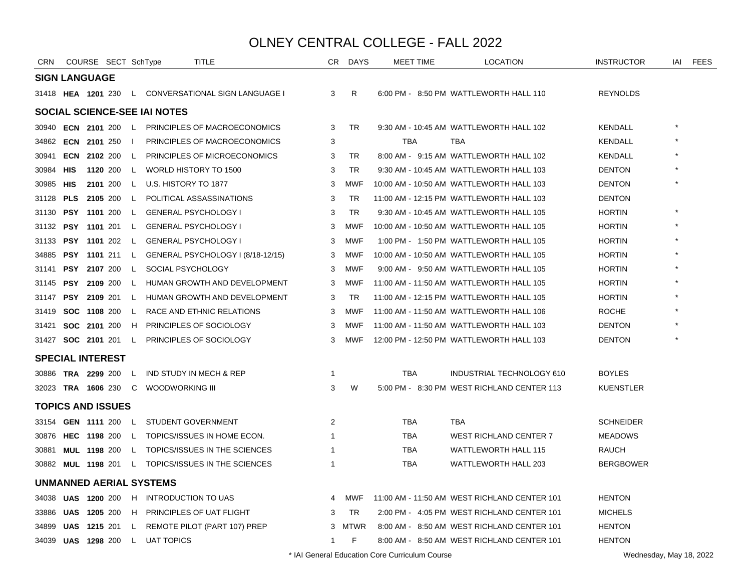| <b>CRN</b> |            | COURSE SECT SchType       |              |                              | <b>TITLE</b>                      | CR. | <b>DAYS</b> | <b>MEET TIME</b> | <b>LOCATION</b>                              | <b>INSTRUCTOR</b> | IAI | <b>FEES</b> |
|------------|------------|---------------------------|--------------|------------------------------|-----------------------------------|-----|-------------|------------------|----------------------------------------------|-------------------|-----|-------------|
|            |            | <b>SIGN LANGUAGE</b>      |              |                              |                                   |     |             |                  |                                              |                   |     |             |
|            |            | 31418 HEA 1201 230        |              |                              | L CONVERSATIONAL SIGN LANGUAGE I  | 3   | R           |                  | 6:00 PM - 8:50 PM WATTLEWORTH HALL 110       | <b>REYNOLDS</b>   |     |             |
|            |            |                           |              | SOCIAL SCIENCE-SEE IAI NOTES |                                   |     |             |                  |                                              |                   |     |             |
|            |            | 30940 <b>ECN 2101</b> 200 | $\mathsf{L}$ |                              | PRINCIPLES OF MACROECONOMICS      | 3   | TR          |                  | 9:30 AM - 10:45 AM WATTLEWORTH HALL 102      | KENDALL           |     |             |
|            |            | 34862 ECN 2101 250        | $\mathbf{I}$ |                              | PRINCIPLES OF MACROECONOMICS      | 3   |             | <b>TBA</b>       | TBA                                          | KENDALL           |     |             |
| 30941      |            | <b>ECN 2102 200</b>       | L.           |                              | PRINCIPLES OF MICROECONOMICS      | 3   | TR          |                  | 8:00 AM - 9:15 AM WATTLEWORTH HALL 102       | KENDALL           |     |             |
| 30984 HIS  |            | 1120 200                  | L.           | WORLD HISTORY TO 1500        |                                   | 3   | <b>TR</b>   |                  | 9:30 AM - 10:45 AM WATTLEWORTH HALL 103      | <b>DENTON</b>     |     |             |
| 30985 HIS  |            | 2101 200                  | L.           | U.S. HISTORY TO 1877         |                                   | 3   | <b>MWF</b>  |                  | 10:00 AM - 10:50 AM WATTLEWORTH HALL 103     | <b>DENTON</b>     |     |             |
| 31128      | <b>PLS</b> | 2105 200                  | L.           |                              | POLITICAL ASSASSINATIONS          | 3   | <b>TR</b>   |                  | 11:00 AM - 12:15 PM WATTLEWORTH HALL 103     | <b>DENTON</b>     |     |             |
| 31130      |            | PSY 1101 200              | L.           |                              | <b>GENERAL PSYCHOLOGY I</b>       | 3   | <b>TR</b>   |                  | 9:30 AM - 10:45 AM WATTLEWORTH HALL 105      | <b>HORTIN</b>     |     |             |
| 31132      |            | <b>PSY 1101 201</b>       | L.           |                              | <b>GENERAL PSYCHOLOGY I</b>       | 3   | <b>MWF</b>  |                  | 10:00 AM - 10:50 AM WATTLEWORTH HALL 105     | <b>HORTIN</b>     |     |             |
| 31133      |            | PSY 1101 202              | L            | <b>GENERAL PSYCHOLOGY I</b>  |                                   | 3   | <b>MWF</b>  |                  | 1:00 PM - 1:50 PM WATTLEWORTH HALL 105       | <b>HORTIN</b>     |     |             |
| 34885      |            | <b>PSY 1101 211</b>       | L.           |                              | GENERAL PSYCHOLOGY I (8/18-12/15) | 3   | <b>MWF</b>  |                  | 10:00 AM - 10:50 AM WATTLEWORTH HALL 105     | <b>HORTIN</b>     |     |             |
| 31141      |            | PSY 2107 200              | L.           | SOCIAL PSYCHOLOGY            |                                   | 3   | <b>MWF</b>  |                  | 9:00 AM - 9:50 AM WATTLEWORTH HALL 105       | <b>HORTIN</b>     |     |             |
| 31145      |            | <b>PSY 2109 200</b>       | L.           |                              | HUMAN GROWTH AND DEVELOPMENT      | 3   | <b>MWF</b>  |                  | 11:00 AM - 11:50 AM WATTLEWORTH HALL 105     | <b>HORTIN</b>     |     |             |
| 31147      |            | PSY 2109 201              | L.           |                              | HUMAN GROWTH AND DEVELOPMENT      | 3   | TR          |                  | 11:00 AM - 12:15 PM WATTLEWORTH HALL 105     | <b>HORTIN</b>     |     |             |
| 31419      |            | SOC 1108 200              | L.           |                              | RACE AND ETHNIC RELATIONS         | 3   | <b>MWF</b>  |                  | 11:00 AM - 11:50 AM WATTLEWORTH HALL 106     | <b>ROCHE</b>      |     |             |
| 31421      |            | <b>SOC 2101 200</b>       | H            |                              | PRINCIPLES OF SOCIOLOGY           | 3   | <b>MWF</b>  |                  | 11:00 AM - 11:50 AM WATTLEWORTH HALL 103     | <b>DENTON</b>     |     |             |
|            |            | 31427 <b>SOC 2101</b> 201 | L.           |                              | PRINCIPLES OF SOCIOLOGY           | 3   | <b>MWF</b>  |                  | 12:00 PM - 12:50 PM WATTLEWORTH HALL 103     | <b>DENTON</b>     |     |             |
|            |            | <b>SPECIAL INTEREST</b>   |              |                              |                                   |     |             |                  |                                              |                   |     |             |
| 30886      |            | <b>TRA 2299 200</b>       | L.           |                              | IND STUDY IN MECH & REP           | 1   |             | <b>TBA</b>       | INDUSTRIAL TECHNOLOGY 610                    | <b>BOYLES</b>     |     |             |
|            |            | 32023 TRA 1606 230 C      |              | WOODWORKING III              |                                   | 3   | W           |                  | 5:00 PM - 8:30 PM WEST RICHLAND CENTER 113   | <b>KUENSTLER</b>  |     |             |
|            |            | <b>TOPICS AND ISSUES</b>  |              |                              |                                   |     |             |                  |                                              |                   |     |             |
|            |            | 33154 <b>GEN 1111</b> 200 | L.           | STUDENT GOVERNMENT           |                                   | 2   |             | TBA              | <b>TBA</b>                                   | <b>SCHNEIDER</b>  |     |             |
| 30876      |            | HEC 1198 200              |              |                              | L TOPICS/ISSUES IN HOME ECON.     | 1   |             | <b>TBA</b>       | WEST RICHLAND CENTER 7                       | <b>MEADOWS</b>    |     |             |
| 30881      |            | <b>MUL 1198 200</b>       | L.           |                              | TOPICS/ISSUES IN THE SCIENCES     | 1   |             | <b>TBA</b>       | <b>WATTLEWORTH HALL 115</b>                  | RAUCH             |     |             |
| 30882      |            | <b>MUL 1198 201</b>       | $\mathbf{L}$ |                              | TOPICS/ISSUES IN THE SCIENCES     | 1   |             | <b>TBA</b>       | <b>WATTLEWORTH HALL 203</b>                  | <b>BERGBOWER</b>  |     |             |
|            |            |                           |              | UNMANNED AERIAL SYSTEMS      |                                   |     |             |                  |                                              |                   |     |             |
|            |            | 34038 UAS 1200 200        |              | H INTRODUCTION TO UAS        |                                   | 4   | MWF         |                  | 11:00 AM - 11:50 AM WEST RICHLAND CENTER 101 | <b>HENTON</b>     |     |             |
| 33886 UAS  |            | 1205 200                  | H            |                              | PRINCIPLES OF UAT FLIGHT          | 3   | TR          |                  | 2:00 PM - 4:05 PM WEST RICHLAND CENTER 101   | <b>MICHELS</b>    |     |             |
| 34899      | UAS        | 1215 201                  | L.           |                              | REMOTE PILOT (PART 107) PREP      |     | 3 MTWR      |                  | 8:00 AM - 8:50 AM WEST RICHLAND CENTER 101   | <b>HENTON</b>     |     |             |
|            |            | 34039 UAS 1298 200        |              | L UAT TOPICS                 |                                   | 1   | F           |                  | 8:00 AM - 8:50 AM WEST RICHLAND CENTER 101   | <b>HENTON</b>     |     |             |
|            |            |                           |              |                              |                                   |     |             |                  |                                              |                   |     |             |